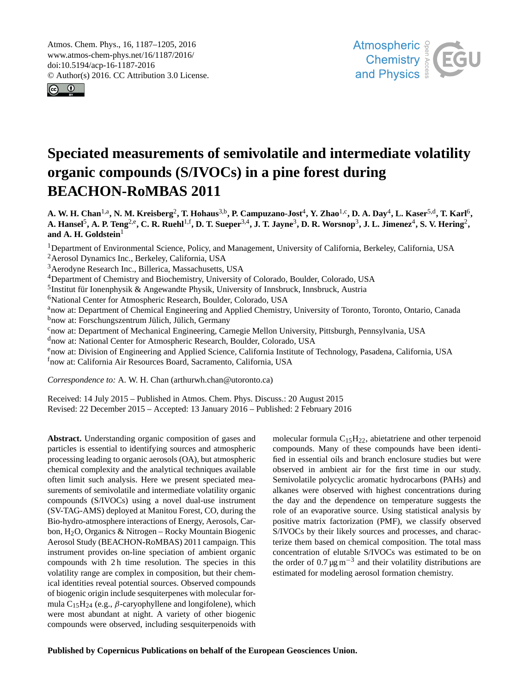<span id="page-0-1"></span>Atmos. Chem. Phys., 16, 1187–1205, 2016 www.atmos-chem-phys.net/16/1187/2016/ doi:10.5194/acp-16-1187-2016 © Author(s) 2016. CC Attribution 3.0 License.





# **Speciated measurements of semivolatile and intermediate volatility organic compounds (S/IVOCs) in a pine forest during BEACHON-RoMBAS 2011**

A. W. H. Chan<sup>[1,a](#page-0-0)</sup>, N. M. Kreisberg<sup>[2](#page-0-0)</sup>, T. Hohaus<sup>[3,b](#page-0-0)</sup>, P. Campuzano-Jost<sup>[4](#page-0-0)</sup>, Y. Zhao<sup>[1,c](#page-0-0)</sup>, D. A. Day<sup>4</sup>, L. Kaser<sup>[5,d](#page-0-0)</sup>, T. Karl<sup>[6](#page-0-0)</sup>, A. Hansel<sup>[5](#page-0-0)</sup>, A. P. Teng<sup>[2,e](#page-0-0)</sup>, C. R. Ruehl<sup>[1,f](#page-0-0)</sup>, D. T. Sueper<sup>[3,4](#page-0-0)</sup>, J. T. Jayne<sup>[3](#page-0-0)</sup>, D. R. Worsnop<sup>3</sup>, J. L. Jimenez<sup>[4](#page-0-0)</sup>, S. V. Hering<sup>[2](#page-0-0)</sup>, and A. H. Goldstein<sup>[1](#page-0-0)</sup>

<sup>1</sup>Department of Environmental Science, Policy, and Management, University of California, Berkeley, California, USA <sup>2</sup>Aerosol Dynamics Inc., Berkeley, California, USA

<sup>3</sup>Aerodyne Research Inc., Billerica, Massachusetts, USA

<sup>4</sup>Department of Chemistry and Biochemistry, University of Colorado, Boulder, Colorado, USA

<sup>5</sup>Institut für Ionenphysik & Angewandte Physik, University of Innsbruck, Innsbruck, Austria

<sup>6</sup>National Center for Atmospheric Research, Boulder, Colorado, USA

<sup>a</sup>now at: Department of Chemical Engineering and Applied Chemistry, University of Toronto, Toronto, Ontario, Canada b<sub>now at:</sub> Forschungszentrum Jülich, Jülich, Germany

<sup>c</sup>now at: Department of Mechanical Engineering, Carnegie Mellon University, Pittsburgh, Pennsylvania, USA

<sup>d</sup>now at: National Center for Atmospheric Research, Boulder, Colorado, USA

<sup>e</sup>now at: Division of Engineering and Applied Science, California Institute of Technology, Pasadena, California, USA

<sup>f</sup>now at: California Air Resources Board, Sacramento, California, USA

*Correspondence to:* A. W. H. Chan (arthurwh.chan@utoronto.ca)

Received: 14 July 2015 – Published in Atmos. Chem. Phys. Discuss.: 20 August 2015 Revised: 22 December 2015 – Accepted: 13 January 2016 – Published: 2 February 2016

<span id="page-0-0"></span>**Abstract.** Understanding organic composition of gases and particles is essential to identifying sources and atmospheric processing leading to organic aerosols (OA), but atmospheric chemical complexity and the analytical techniques available often limit such analysis. Here we present speciated measurements of semivolatile and intermediate volatility organic compounds (S/IVOCs) using a novel dual-use instrument (SV-TAG-AMS) deployed at Manitou Forest, CO, during the Bio-hydro-atmosphere interactions of Energy, Aerosols, Carbon, H2O, Organics & Nitrogen – Rocky Mountain Biogenic Aerosol Study (BEACHON-RoMBAS) 2011 campaign. This instrument provides on-line speciation of ambient organic compounds with 2 h time resolution. The species in this volatility range are complex in composition, but their chemical identities reveal potential sources. Observed compounds of biogenic origin include sesquiterpenes with molecular formula  $C_1$ 5H<sub>24</sub> (e.g.,  $\beta$ -caryophyllene and longifolene), which were most abundant at night. A variety of other biogenic compounds were observed, including sesquiterpenoids with molecular formula  $C_{15}H_{22}$ , abietatriene and other terpenoid compounds. Many of these compounds have been identified in essential oils and branch enclosure studies but were observed in ambient air for the first time in our study. Semivolatile polycyclic aromatic hydrocarbons (PAHs) and alkanes were observed with highest concentrations during the day and the dependence on temperature suggests the role of an evaporative source. Using statistical analysis by positive matrix factorization (PMF), we classify observed S/IVOCs by their likely sources and processes, and characterize them based on chemical composition. The total mass concentration of elutable S/IVOCs was estimated to be on the order of 0.7  $\mu$ g m<sup>-3</sup> and their volatility distributions are estimated for modeling aerosol formation chemistry.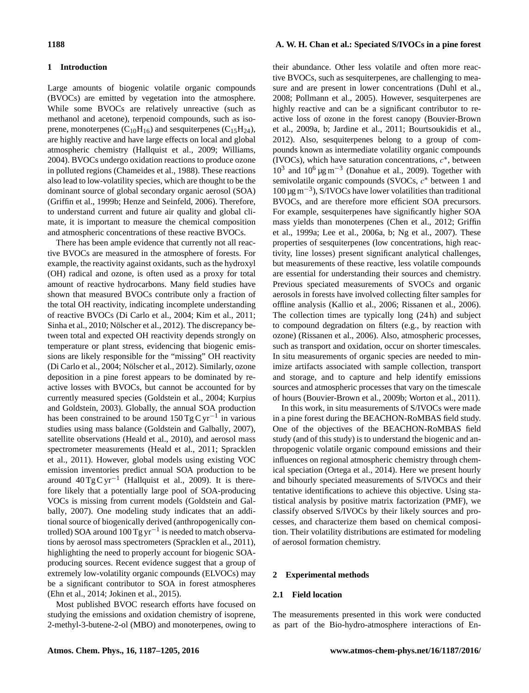#### **1 Introduction**

Large amounts of biogenic volatile organic compounds (BVOCs) are emitted by vegetation into the atmosphere. While some BVOCs are relatively unreactive (such as methanol and acetone), terpenoid compounds, such as isoprene, monoterpenes  $(C_{10}H_{16})$  and sesquiterpenes  $(C_{15}H_{24})$ , are highly reactive and have large effects on local and global atmospheric chemistry [\(Hallquist et al.,](#page-15-0) [2009;](#page-15-0) [Williams,](#page-17-0) [2004\)](#page-17-0). BVOCs undergo oxidation reactions to produce ozone in polluted regions [\(Chameides et al.,](#page-15-1) [1988\)](#page-15-1). These reactions also lead to low-volatility species, which are thought to be the dominant source of global secondary organic aerosol (SOA) [\(Griffin et al.,](#page-15-2) [1999b;](#page-15-2) [Henze and Seinfeld,](#page-16-0) [2006\)](#page-16-0). Therefore, to understand current and future air quality and global climate, it is important to measure the chemical composition and atmospheric concentrations of these reactive BVOCs.

There has been ample evidence that currently not all reactive BVOCs are measured in the atmosphere of forests. For example, the reactivity against oxidants, such as the hydroxyl (OH) radical and ozone, is often used as a proxy for total amount of reactive hydrocarbons. Many field studies have shown that measured BVOCs contribute only a fraction of the total OH reactivity, indicating incomplete understanding of reactive BVOCs [\(Di Carlo et al.,](#page-15-3) [2004;](#page-15-3) [Kim et al.,](#page-16-1) [2011;](#page-16-1) [Sinha et al.,](#page-17-1) [2010;](#page-17-1) [Nölscher et al.,](#page-17-2) [2012\)](#page-17-2). The discrepancy between total and expected OH reactivity depends strongly on temperature or plant stress, evidencing that biogenic emissions are likely responsible for the "missing" OH reactivity [\(Di Carlo et al.,](#page-15-3) [2004;](#page-15-3) [Nölscher et al.,](#page-17-2) [2012\)](#page-17-2). Similarly, ozone deposition in a pine forest appears to be dominated by reactive losses with BVOCs, but cannot be accounted for by currently measured species [\(Goldstein et al.,](#page-15-4) [2004;](#page-15-4) [Kurpius](#page-16-2) [and Goldstein,](#page-16-2) [2003\)](#page-16-2). Globally, the annual SOA production has been constrained to be around  $150 \text{ Tg C yr}^{-1}$  in various studies using mass balance [\(Goldstein and Galbally,](#page-15-5) [2007\)](#page-15-5), satellite observations [\(Heald et al.,](#page-16-3) [2010\)](#page-16-3), and aerosol mass spectrometer measurements [\(Heald et al.,](#page-16-4) [2011;](#page-16-4) [Spracklen](#page-17-3) [et al.,](#page-17-3) [2011\)](#page-17-3). However, global models using existing VOC emission inventories predict annual SOA production to be around  $40 \text{ Tg C yr}^{-1}$  [\(Hallquist et al.,](#page-15-0) [2009\)](#page-15-0). It is therefore likely that a potentially large pool of SOA-producing VOCs is missing from current models [\(Goldstein and Gal](#page-15-5)[bally,](#page-15-5) [2007\)](#page-15-5). One modeling study indicates that an additional source of biogenically derived (anthropogenically controlled) SOA around 100 Tg yr−<sup>1</sup> is needed to match observations by aerosol mass spectrometers [\(Spracklen et al.,](#page-17-3) [2011\)](#page-17-3), highlighting the need to properly account for biogenic SOAproducing sources. Recent evidence suggest that a group of extremely low-volatility organic compounds (ELVOCs) may be a significant contributor to SOA in forest atmospheres [\(Ehn et al.,](#page-15-6) [2014;](#page-15-6) [Jokinen et al.,](#page-16-5) [2015\)](#page-16-5).

Most published BVOC research efforts have focused on studying the emissions and oxidation chemistry of isoprene, 2-methyl-3-butene-2-ol (MBO) and monoterpenes, owing to

# **1188 A. W. H. Chan et al.: Speciated S/IVOCs in a pine forest**

their abundance. Other less volatile and often more reactive BVOCs, such as sesquiterpenes, are challenging to measure and are present in lower concentrations [\(Duhl et al.,](#page-15-7) [2008;](#page-15-7) [Pollmann et al.,](#page-17-4) [2005\)](#page-17-4). However, sesquiterpenes are highly reactive and can be a significant contributor to reactive loss of ozone in the forest canopy [\(Bouvier-Brown](#page-14-0) [et al.,](#page-14-0) [2009a,](#page-14-0) [b;](#page-14-1) [Jardine et al.,](#page-16-6) [2011;](#page-16-6) [Bourtsoukidis et al.,](#page-14-2) [2012\)](#page-14-2). Also, sesquiterpenes belong to a group of compounds known as intermediate volatility organic compounds (IVOCs), which have saturation concentrations,  $c^*$ , between  $10<sup>3</sup>$  and  $10<sup>6</sup>$  μg m<sup>-3</sup> [\(Donahue et al.,](#page-15-8) [2009\)](#page-15-8). Together with semivolatile organic compounds (SVOCs,  $c$ <sup>∗</sup> between 1 and 100 µg m−<sup>3</sup> ), S/IVOCs have lower volatilities than traditional BVOCs, and are therefore more efficient SOA precursors. For example, sesquiterpenes have significantly higher SOA mass yields than monoterpenes [\(Chen et al.,](#page-15-9) [2012;](#page-15-9) [Griffin](#page-15-10) [et al.,](#page-15-10) [1999a;](#page-15-10) [Lee et al.,](#page-16-7) [2006a,](#page-16-7) [b;](#page-16-8) [Ng et al.,](#page-16-9) [2007\)](#page-16-9). These properties of sesquiterpenes (low concentrations, high reactivity, line losses) present significant analytical challenges, but measurements of these reactive, less volatile compounds are essential for understanding their sources and chemistry. Previous speciated measurements of SVOCs and organic aerosols in forests have involved collecting filter samples for offline analysis [\(Kallio et al.,](#page-16-10) [2006;](#page-16-10) [Rissanen et al.,](#page-17-5) [2006\)](#page-17-5). The collection times are typically long (24 h) and subject to compound degradation on filters (e.g., by reaction with ozone) [\(Rissanen et al.,](#page-17-5) [2006\)](#page-17-5). Also, atmospheric processes, such as transport and oxidation, occur on shorter timescales. In situ measurements of organic species are needed to minimize artifacts associated with sample collection, transport and storage, and to capture and help identify emissions sources and atmospheric processes that vary on the timescale of hours [\(Bouvier-Brown et al.,](#page-14-1) [2009b;](#page-14-1) [Worton et al.,](#page-18-0) [2011\)](#page-18-0).

In this work, in situ measurements of S/IVOCs were made in a pine forest during the BEACHON-RoMBAS field study. One of the objectives of the BEACHON-RoMBAS field study (and of this study) is to understand the biogenic and anthropogenic volatile organic compound emissions and their influences on regional atmospheric chemistry through chemical speciation [\(Ortega et al.,](#page-17-6) [2014\)](#page-17-6). Here we present hourly and bihourly speciated measurements of S/IVOCs and their tentative identifications to achieve this objective. Using statistical analysis by positive matrix factorization (PMF), we classify observed S/IVOCs by their likely sources and processes, and characterize them based on chemical composition. Their volatility distributions are estimated for modeling of aerosol formation chemistry.

#### **2 Experimental methods**

#### **2.1 Field location**

The measurements presented in this work were conducted as part of the Bio-hydro-atmosphere interactions of En-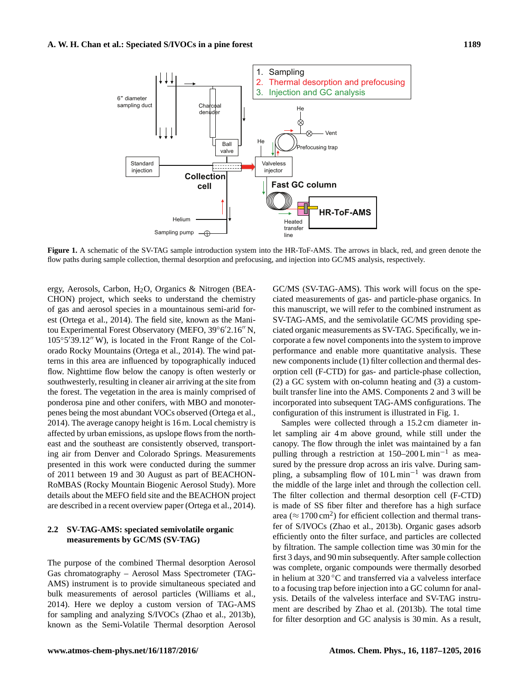<span id="page-2-0"></span>

**Figure 1.** A schematic of the SV-TAG sample introduction system into the HR-ToF-AMS. The arrows in black, red, and green denote the flow paths during sample collection, thermal desorption and prefocusing, and injection into GC/MS analysis, respectively.

ergy, Aerosols, Carbon, H2O, Organics & Nitrogen (BEA-CHON) project, which seeks to understand the chemistry of gas and aerosol species in a mountainous semi-arid forest [\(Ortega et al.,](#page-17-6) [2014\)](#page-17-6). The field site, known as the Manitou Experimental Forest Observatory (MEFO, 39°6'2.16" N, 105°5'39.12" W), is located in the Front Range of the Colorado Rocky Mountains [\(Ortega et al.,](#page-17-6) [2014\)](#page-17-6). The wind patterns in this area are influenced by topographically induced flow. Nighttime flow below the canopy is often westerly or southwesterly, resulting in cleaner air arriving at the site from the forest. The vegetation in the area is mainly comprised of ponderosa pine and other conifers, with MBO and monoterpenes being the most abundant VOCs observed [\(Ortega et al.,](#page-17-6) [2014\)](#page-17-6). The average canopy height is 16 m. Local chemistry is affected by urban emissions, as upslope flows from the northeast and the southeast are consistently observed, transporting air from Denver and Colorado Springs. Measurements presented in this work were conducted during the summer of 2011 between 19 and 30 August as part of BEACHON-RoMBAS (Rocky Mountain Biogenic Aerosol Study). More details about the MEFO field site and the BEACHON project are described in a recent overview paper [\(Ortega et al.,](#page-17-6) [2014\)](#page-17-6).

# **2.2 SV-TAG-AMS: speciated semivolatile organic measurements by GC/MS (SV-TAG)**

The purpose of the combined Thermal desorption Aerosol Gas chromatography – Aerosol Mass Spectrometer (TAG-AMS) instrument is to provide simultaneous speciated and bulk measurements of aerosol particles [\(Williams et al.,](#page-17-7) [2014\)](#page-17-7). Here we deploy a custom version of TAG-AMS for sampling and analyzing S/IVOCs [\(Zhao et al.,](#page-18-1) [2013b\)](#page-18-1), known as the Semi-Volatile Thermal desorption Aerosol GC/MS (SV-TAG-AMS). This work will focus on the speciated measurements of gas- and particle-phase organics. In this manuscript, we will refer to the combined instrument as SV-TAG-AMS, and the semivolatile GC/MS providing speciated organic measurements as SV-TAG. Specifically, we incorporate a few novel components into the system to improve performance and enable more quantitative analysis. These new components include (1) filter collection and thermal desorption cell (F-CTD) for gas- and particle-phase collection, (2) a GC system with on-column heating and (3) a custombuilt transfer line into the AMS. Components 2 and 3 will be incorporated into subsequent TAG-AMS configurations. The configuration of this instrument is illustrated in Fig. [1.](#page-2-0)

Samples were collected through a 15.2 cm diameter inlet sampling air 4 m above ground, while still under the canopy. The flow through the inlet was maintained by a fan pulling through a restriction at 150–200 L min<sup>-1</sup> as measured by the pressure drop across an iris valve. During sampling, a subsampling flow of  $10 L \text{ min}^{-1}$  was drawn from the middle of the large inlet and through the collection cell. The filter collection and thermal desorption cell (F-CTD) is made of SS fiber filter and therefore has a high surface area ( $\approx 1700 \text{ cm}^2$ ) for efficient collection and thermal transfer of S/IVOCs [\(Zhao et al.,](#page-18-1) [2013b\)](#page-18-1). Organic gases adsorb efficiently onto the filter surface, and particles are collected by filtration. The sample collection time was 30 min for the first 3 days, and 90 min subsequently. After sample collection was complete, organic compounds were thermally desorbed in helium at 320 ◦C and transferred via a valveless interface to a focusing trap before injection into a GC column for analysis. Details of the valveless interface and SV-TAG instrument are described by [Zhao et al.](#page-18-1) [\(2013b\)](#page-18-1). The total time for filter desorption and GC analysis is 30 min. As a result,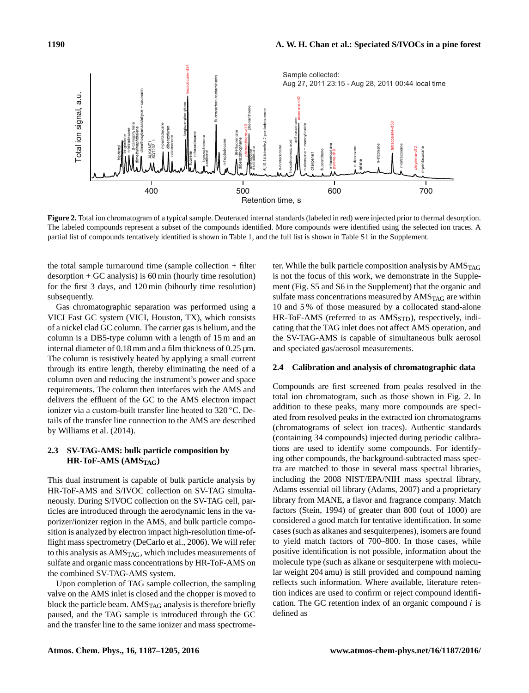<span id="page-3-0"></span>

**Figure 2.** Total ion chromatogram of a typical sample. Deuterated internal standards (labeled in red) were injected prior to thermal desorption. The labeled compounds represent a subset of the compounds identified. More compounds were identified using the selected ion traces. A partial list of compounds tentatively identified is shown in Table [1,](#page-5-0) and the full list is shown in Table S1 in the Supplement.

the total sample turnaround time (sample collection + filter  $desorption + GC$  analysis) is  $60 \text{ min}$  (hourly time resolution) for the first 3 days, and 120 min (bihourly time resolution) subsequently.

Gas chromatographic separation was performed using a VICI Fast GC system (VICI, Houston, TX), which consists of a nickel clad GC column. The carrier gas is helium, and the column is a DB5-type column with a length of 15 m and an internal diameter of 0.18 mm and a film thickness of 0.25  $\mu$ m. The column is resistively heated by applying a small current through its entire length, thereby eliminating the need of a column oven and reducing the instrument's power and space requirements. The column then interfaces with the AMS and delivers the effluent of the GC to the AMS electron impact ionizer via a custom-built transfer line heated to 320 ◦C. Details of the transfer line connection to the AMS are described by [Williams et al.](#page-17-7) [\(2014\)](#page-17-7).

# **2.3 SV-TAG-AMS: bulk particle composition by HR-ToF-AMS (AMSTAG)**

This dual instrument is capable of bulk particle analysis by HR-ToF-AMS and S/IVOC collection on SV-TAG simultaneously. During S/IVOC collection on the SV-TAG cell, particles are introduced through the aerodynamic lens in the vaporizer/ionizer region in the AMS, and bulk particle composition is analyzed by electron impact high-resolution time-offlight mass spectrometry [\(DeCarlo et al.,](#page-15-11) [2006\)](#page-15-11). We will refer to this analysis as AMS<sub>TAG</sub>, which includes measurements of sulfate and organic mass concentrations by HR-ToF-AMS on the combined SV-TAG-AMS system.

Upon completion of TAG sample collection, the sampling valve on the AMS inlet is closed and the chopper is moved to block the particle beam.  $AMS<sub>TAG</sub>$  analysis is therefore briefly paused, and the TAG sample is introduced through the GC and the transfer line to the same ionizer and mass spectrometer. While the bulk particle composition analysis by  $AMS<sub>TAG</sub>$ is not the focus of this work, we demonstrate in the Supplement (Fig. S5 and S6 in the Supplement) that the organic and sulfate mass concentrations measured by  $AMS<sub>TAG</sub>$  are within 10 and 5 % of those measured by a collocated stand-alone HR-ToF-AMS (referred to as AMS<sub>STD</sub>), respectively, indicating that the TAG inlet does not affect AMS operation, and the SV-TAG-AMS is capable of simultaneous bulk aerosol and speciated gas/aerosol measurements.

# **2.4 Calibration and analysis of chromatographic data**

Compounds are first screened from peaks resolved in the total ion chromatogram, such as those shown in Fig. [2.](#page-3-0) In addition to these peaks, many more compounds are speciated from resolved peaks in the extracted ion chromatograms (chromatograms of select ion traces). Authentic standards (containing 34 compounds) injected during periodic calibrations are used to identify some compounds. For identifying other compounds, the background-subtracted mass spectra are matched to those in several mass spectral libraries, including the 2008 NIST/EPA/NIH mass spectral library, Adams essential oil library [\(Adams,](#page-14-3) [2007\)](#page-14-3) and a proprietary library from MANE, a flavor and fragrance company. Match factors [\(Stein,](#page-17-8) [1994\)](#page-17-8) of greater than 800 (out of 1000) are considered a good match for tentative identification. In some cases (such as alkanes and sesquiterpenes), isomers are found to yield match factors of 700–800. In those cases, while positive identification is not possible, information about the molecule type (such as alkane or sesquiterpene with molecular weight 204 amu) is still provided and compound naming reflects such information. Where available, literature retention indices are used to confirm or reject compound identification. The GC retention index of an organic compound  $i$  is defined as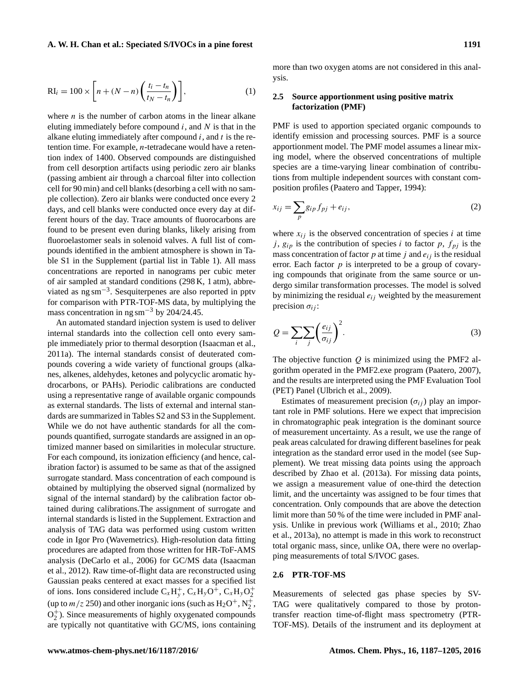$$
RI_i = 100 \times \left[ n + (N - n) \left( \frac{t_i - t_n}{t_N - t_n} \right) \right],
$$
 (1)

where  $n$  is the number of carbon atoms in the linear alkane eluting immediately before compound  $i$ , and  $N$  is that in the alkane eluting immediately after compound  $i$ , and  $t$  is the retention time. For example, n-tetradecane would have a retention index of 1400. Observed compounds are distinguished from cell desorption artifacts using periodic zero air blanks (passing ambient air through a charcoal filter into collection cell for 90 min) and cell blanks (desorbing a cell with no sample collection). Zero air blanks were conducted once every 2 days, and cell blanks were conducted once every day at different hours of the day. Trace amounts of fluorocarbons are found to be present even during blanks, likely arising from fluoroelastomer seals in solenoid valves. A full list of compounds identified in the ambient atmosphere is shown in Table S1 in the Supplement (partial list in Table [1\)](#page-5-0). All mass concentrations are reported in nanograms per cubic meter of air sampled at standard conditions (298 K, 1 atm), abbreviated as ng sm−<sup>3</sup> . Sesquiterpenes are also reported in pptv for comparison with PTR-TOF-MS data, by multiplying the mass concentration in ng sm<sup>-3</sup> by 204/24.45.

An automated standard injection system is used to deliver internal standards into the collection cell onto every sample immediately prior to thermal desorption [\(Isaacman et al.,](#page-16-11) [2011a\)](#page-16-11). The internal standards consist of deuterated compounds covering a wide variety of functional groups (alkanes, alkenes, aldehydes, ketones and polycyclic aromatic hydrocarbons, or PAHs). Periodic calibrations are conducted using a representative range of available organic compounds as external standards. The lists of external and internal standards are summarized in Tables S2 and S3 in the Supplement. While we do not have authentic standards for all the compounds quantified, surrogate standards are assigned in an optimized manner based on similarities in molecular structure. For each compound, its ionization efficiency (and hence, calibration factor) is assumed to be same as that of the assigned surrogate standard. Mass concentration of each compound is obtained by multiplying the observed signal (normalized by signal of the internal standard) by the calibration factor obtained during calibrations.The assignment of surrogate and internal standards is listed in the Supplement. Extraction and analysis of TAG data was performed using custom written code in Igor Pro (Wavemetrics). High-resolution data fitting procedures are adapted from those written for HR-ToF-AMS analysis [\(DeCarlo et al.,](#page-15-11) [2006\)](#page-15-11) for GC/MS data [\(Isaacman](#page-16-12) [et al.,](#page-16-12) [2012\)](#page-16-12). Raw time-of-flight data are reconstructed using Gaussian peaks centered at exact masses for a specified list of ions. Ions considered include  $C_xH_y^+$ ,  $C_xH_yO_f^+$ ,  $C_xH_yO_2^+$ 2 (up to  $m/z$  250) and other inorganic ions (such as  $H_2O^+, N_2^+$ ,  $O_2^+$  $_2^+$ ). Since measurements of highly oxygenated compounds are typically not quantitative with GC/MS, ions containing

more than two oxygen atoms are not considered in this analysis.

# **2.5 Source apportionment using positive matrix factorization (PMF)**

PMF is used to apportion speciated organic compounds to identify emission and processing sources. PMF is a source apportionment model. The PMF model assumes a linear mixing model, where the observed concentrations of multiple species are a time-varying linear combination of contributions from multiple independent sources with constant composition profiles [\(Paatero and Tapper,](#page-17-9) [1994\)](#page-17-9):

$$
x_{ij} = \sum_{p} g_{ip} f_{pj} + e_{ij},\tag{2}
$$

where  $x_{ij}$  is the observed concentration of species i at time j,  $g_{ip}$  is the contribution of species i to factor p,  $f_{pj}$  is the mass concentration of factor  $p$  at time  $j$  and  $e_{ij}$  is the residual error. Each factor  $p$  is interpreted to be a group of covarying compounds that originate from the same source or undergo similar transformation processes. The model is solved by minimizing the residual  $e_{ij}$  weighted by the measurement precision  $\sigma_{ii}$ :

$$
Q = \sum_{i} \sum_{j} \left(\frac{e_{ij}}{\sigma_{ij}}\right)^2.
$$
 (3)

The objective function  $O$  is minimized using the PMF2 algorithm operated in the PMF2.exe program [\(Paatero,](#page-17-10) [2007\)](#page-17-10), and the results are interpreted using the PMF Evaluation Tool (PET) Panel [\(Ulbrich et al.,](#page-17-11) [2009\)](#page-17-11).

Estimates of measurement precision  $(\sigma_{ij})$  play an important role in PMF solutions. Here we expect that imprecision in chromatographic peak integration is the dominant source of measurement uncertainty. As a result, we use the range of peak areas calculated for drawing different baselines for peak integration as the standard error used in the model (see Supplement). We treat missing data points using the approach described by [Zhao et al.](#page-18-2) [\(2013a\)](#page-18-2). For missing data points, we assign a measurement value of one-third the detection limit, and the uncertainty was assigned to be four times that concentration. Only compounds that are above the detection limit more than 50 % of the time were included in PMF analysis. Unlike in previous work [\(Williams et al.,](#page-17-12) [2010;](#page-17-12) [Zhao](#page-18-2) [et al.,](#page-18-2) [2013a\)](#page-18-2), no attempt is made in this work to reconstruct total organic mass, since, unlike OA, there were no overlapping measurements of total S/IVOC gases.

# **2.6 PTR-TOF-MS**

Measurements of selected gas phase species by SV-TAG were qualitatively compared to those by protontransfer reaction time-of-flight mass spectrometry (PTR-TOF-MS). Details of the instrument and its deployment at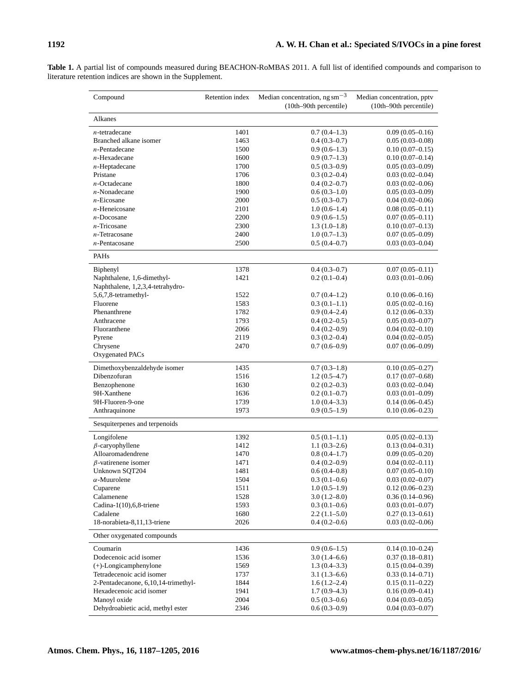| Compound                                                       | Retention index | Median concentration, $ng \, \text{sm}^{-3}$<br>(10th-90th percentile) | Median concentration, pptv<br>$(10th-90th)$ percentile) |
|----------------------------------------------------------------|-----------------|------------------------------------------------------------------------|---------------------------------------------------------|
| Alkanes                                                        |                 |                                                                        |                                                         |
| $n$ -tetradecane                                               | 1401            | $0.7(0.4-1.3)$                                                         | $0.09(0.05-0.16)$                                       |
| Branched alkane isomer                                         | 1463            | $0.4(0.3-0.7)$                                                         | $0.05(0.03 - 0.08)$                                     |
| $n$ -Pentadecane                                               | 1500            | $0.9(0.6-1.3)$                                                         | $0.10(0.07-0.15)$                                       |
| $n$ -Hexadecane                                                | 1600            | $0.9(0.7-1.3)$                                                         | $0.10(0.07-0.14)$                                       |
| $n$ -Heptadecane                                               | 1700            | $0.5(0.3-0.9)$                                                         | $0.05(0.03 - 0.09)$                                     |
| Pristane                                                       | 1706            | $0.3(0.2-0.4)$                                                         | $0.03(0.02 - 0.04)$                                     |
| $n$ -Octadecane                                                | 1800            | $0.4(0.2-0.7)$                                                         | $0.03(0.02-0.06)$                                       |
| $n$ -Nonadecane                                                | 1900            | $0.6(0.3-1.0)$                                                         | $0.05(0.03 - 0.09)$                                     |
| $n$ -Eicosane                                                  | 2000            | $0.5(0.3-0.7)$                                                         | $0.04(0.02-0.06)$                                       |
| $n$ -Heneicosane                                               | 2101            | $1.0(0.6-1.4)$                                                         | $0.08(0.05 - 0.11)$                                     |
| $n$ -Docosane                                                  | 2200            | $0.9(0.6-1.5)$                                                         | $0.07(0.05 - 0.11)$                                     |
| $n$ -Tricosane                                                 | 2300            | $1.3(1.0-1.8)$                                                         | $0.10(0.07 - 0.13)$                                     |
| $n$ -Tetracosane                                               | 2400            |                                                                        |                                                         |
| $n$ -Pentacosane                                               | 2500            | $1.0(0.7-1.3)$                                                         | $0.07(0.05 - 0.09)$                                     |
|                                                                |                 | $0.5(0.4-0.7)$                                                         | $0.03(0.03 - 0.04)$                                     |
| PAHs                                                           |                 |                                                                        |                                                         |
| Biphenyl                                                       | 1378            | $0.4(0.3-0.7)$                                                         | $0.07(0.05 - 0.11)$                                     |
| Naphthalene, 1,6-dimethyl-<br>Naphthalene, 1,2,3,4-tetrahydro- | 1421            | $0.2(0.1-0.4)$                                                         | $0.03(0.01-0.06)$                                       |
| 5,6,7,8-tetramethyl-                                           | 1522            | $0.7(0.4-1.2)$                                                         | $0.10(0.06 - 0.16)$                                     |
| Fluorene                                                       | 1583            | $0.3(0.1-1.1)$                                                         | $0.05(0.02 - 0.16)$                                     |
| Phenanthrene                                                   | 1782            | $0.9(0.4-2.4)$                                                         | $0.12(0.06-0.33)$                                       |
| Anthracene                                                     | 1793            | $0.4(0.2-0.5)$                                                         | $0.05(0.03-0.07)$                                       |
| Fluoranthene                                                   | 2066            | $0.4(0.2-0.9)$                                                         | $0.04(0.02-0.10)$                                       |
| Pyrene                                                         | 2119            | $0.3(0.2-0.4)$                                                         | $0.04(0.02 - 0.05)$                                     |
| Chrysene                                                       | 2470            | $0.7(0.6-0.9)$                                                         | $0.07(0.06 - 0.09)$                                     |
| Oxygenated PACs                                                |                 |                                                                        |                                                         |
| Dimethoxybenzaldehyde isomer                                   | 1435            | $0.7(0.3-1.8)$                                                         | $0.10(0.05-0.27)$                                       |
| Dibenzofuran                                                   | 1516            | $1.2(0.5-4.7)$                                                         | $0.17(0.07-0.68)$                                       |
| Benzophenone                                                   | 1630            | $0.2(0.2-0.3)$                                                         | $0.03(0.02-0.04)$                                       |
| 9H-Xanthene                                                    | 1636            | $0.2(0.1-0.7)$                                                         | $0.03(0.01-0.09)$                                       |
| 9H-Fluoren-9-one                                               | 1739            | $1.0(0.4-3.3)$                                                         | $0.14(0.06 - 0.45)$                                     |
| Anthraquinone                                                  | 1973            | $0.9(0.5-1.9)$                                                         | $0.10(0.06 - 0.23)$                                     |
| Sesquiterpenes and terpenoids                                  |                 |                                                                        |                                                         |
|                                                                |                 |                                                                        |                                                         |
| Longifolene                                                    | 1392            | $0.5(0.1-1.1)$                                                         | $0.05(0.02 - 0.13)$                                     |
| $\beta$ -caryophyllene                                         | 1412            | $1.1(0.3-2.6)$                                                         | $0.13(0.04 - 0.31)$                                     |
| Alloaromadendrene                                              | 1470            | $0.8(0.4-1.7)$                                                         | $0.09(0.05-0.20)$                                       |
| $\beta$ -vatirenene isomer                                     | 1471            | $0.4(0.2-0.9)$                                                         | $0.04(0.02 - 0.11)$                                     |
| Unknown SQT204                                                 | 1481            | $0.6(0.4-0.8)$                                                         | $0.07(0.05 - 0.10)$                                     |
| $\alpha$ -Muurolene                                            | 1504            | $0.3(0.1-0.6)$                                                         | $0.03(0.02 - 0.07)$                                     |
| Cuparene                                                       | 1511            | $1.0(0.5-1.9)$                                                         | $0.12(0.06 - 0.23)$                                     |
| Calamenene                                                     | 1528            | $3.0(1.2 - 8.0)$                                                       | $0.36(0.14 - 0.96)$                                     |
| Cadina-1 $(10)$ , 6, 8-triene                                  | 1593            | $0.3(0.1-0.6)$                                                         | $0.03(0.01-0.07)$                                       |
| Cadalene                                                       | 1680            | $2.2(1.1-5.0)$                                                         | $0.27(0.13 - 0.61)$                                     |
| 18-norabieta-8,11,13-triene                                    | 2026            | $0.4(0.2-0.6)$                                                         | $0.03(0.02-0.06)$                                       |
| Other oxygenated compounds                                     |                 |                                                                        |                                                         |
| Coumarin                                                       | 1436            | $0.9(0.6-1.5)$                                                         | $0.14(0.10 - 0.24)$                                     |
| Dodecenoic acid isomer                                         | 1536            | $3.0(1.4-6.6)$                                                         | $0.37(0.18 - 0.81)$                                     |
| $(+)$ -Longicamphenylone                                       | 1569            | $1.3(0.4-3.3)$                                                         | $0.15(0.04-0.39)$                                       |
| Tetradecenoic acid isomer                                      | 1737            | $3.1(1.3-6.6)$                                                         | $0.33(0.14-0.71)$                                       |
| 2-Pentadecanone, 6,10,14-trimethyl-                            | 1844            | $1.6(1.2-2.4)$                                                         | $0.15(0.11-0.22)$                                       |
| Hexadecenoic acid isomer                                       | 1941            | $1.7(0.9-4.3)$                                                         | $0.16(0.09 - 0.41)$                                     |
| Manoyl oxide                                                   | 2004            | $0.5(0.3-0.6)$                                                         | $0.04(0.03-0.05)$                                       |
| Dehydroabietic acid, methyl ester                              | 2346            | $0.6(0.3-0.9)$                                                         | $0.04(0.03 - 0.07)$                                     |
|                                                                |                 |                                                                        |                                                         |

<span id="page-5-0"></span>**Table 1.** A partial list of compounds measured during BEACHON-RoMBAS 2011. A full list of identified compounds and comparison to literature retention indices are shown in the Supplement.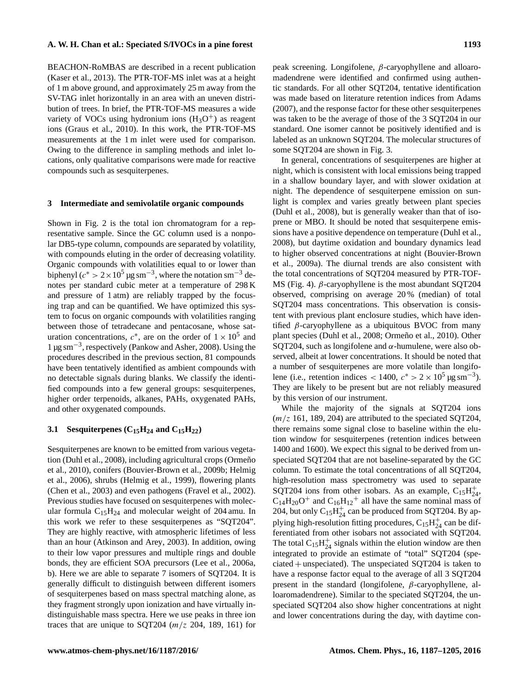BEACHON-RoMBAS are described in a recent publication [\(Kaser et al.,](#page-16-13) [2013\)](#page-16-13). The PTR-TOF-MS inlet was at a height of 1 m above ground, and approximately 25 m away from the SV-TAG inlet horizontally in an area with an uneven distribution of trees. In brief, the PTR-TOF-MS measures a wide variety of VOCs using hydronium ions  $(H_3O<sup>+</sup>)$  as reagent ions [\(Graus et al.,](#page-15-12) [2010\)](#page-15-12). In this work, the PTR-TOF-MS measurements at the 1 m inlet were used for comparison. Owing to the difference in sampling methods and inlet locations, only qualitative comparisons were made for reactive compounds such as sesquiterpenes.

#### **3 Intermediate and semivolatile organic compounds**

Shown in Fig. [2](#page-3-0) is the total ion chromatogram for a representative sample. Since the GC column used is a nonpolar DB5-type column, compounds are separated by volatility, with compounds eluting in the order of decreasing volatility. Organic compounds with volatilities equal to or lower than biphenyl ( $c^* > 2 \times 10^5$  µg sm<sup>-3</sup>, where the notation sm<sup>-3</sup> denotes per standard cubic meter at a temperature of 298 K and pressure of 1 atm) are reliably trapped by the focusing trap and can be quantified. We have optimized this system to focus on organic compounds with volatilities ranging between those of tetradecane and pentacosane, whose saturation concentrations,  $c^*$ , are on the order of  $1 \times 10^5$  and 1 µg sm−<sup>3</sup> , respectively [\(Pankow and Asher,](#page-17-13) [2008\)](#page-17-13). Using the procedures described in the previous section, 81 compounds have been tentatively identified as ambient compounds with no detectable signals during blanks. We classify the identified compounds into a few general groups: sesquiterpenes, higher order terpenoids, alkanes, PAHs, oxygenated PAHs, and other oxygenated compounds.

# **3.1** Sesquiterpenes  $(C_{15}H_{24}$  and  $C_{15}H_{22})$

Sesquiterpenes are known to be emitted from various vegetation [\(Duhl et al.,](#page-15-7) [2008\)](#page-15-7), including agricultural crops [\(Ormeño](#page-17-14) [et al.,](#page-17-14) [2010\)](#page-17-14), conifers [\(Bouvier-Brown et al.,](#page-14-1) [2009b;](#page-14-1) [Helmig](#page-16-14) [et al.,](#page-16-14) [2006\)](#page-16-14), shrubs [\(Helmig et al.,](#page-16-15) [1999\)](#page-16-15), flowering plants [\(Chen et al.,](#page-15-13) [2003\)](#page-15-13) and even pathogens [\(Fravel et al.,](#page-15-14) [2002\)](#page-15-14). Previous studies have focused on sesquiterpenes with molecular formula  $C_{15}H_{24}$  and molecular weight of 204 amu. In this work we refer to these sesquiterpenes as "SQT204". They are highly reactive, with atmospheric lifetimes of less than an hour [\(Atkinson and Arey,](#page-14-4) [2003\)](#page-14-4). In addition, owing to their low vapor pressures and multiple rings and double bonds, they are efficient SOA precursors [\(Lee et al.,](#page-16-7) [2006a,](#page-16-7) [b\)](#page-16-8). Here we are able to separate 7 isomers of SQT204. It is generally difficult to distinguish between different isomers of sesquiterpenes based on mass spectral matching alone, as they fragment strongly upon ionization and have virtually indistinguishable mass spectra. Here we use peaks in three ion traces that are unique to SQT204  $(m/z 204, 189, 161)$  for peak screening. Longifolene,  $β$ -caryophyllene and alloaromadendrene were identified and confirmed using authentic standards. For all other SQT204, tentative identification was made based on literature retention indices from [Adams](#page-14-3) [\(2007\)](#page-14-3), and the response factor for these other sesquiterpenes was taken to be the average of those of the 3 SQT204 in our standard. One isomer cannot be positively identified and is labeled as an unknown SQT204. The molecular structures of some SQT204 are shown in Fig. [3.](#page-7-0)

In general, concentrations of sesquiterpenes are higher at night, which is consistent with local emissions being trapped in a shallow boundary layer, and with slower oxidation at night. The dependence of sesquiterpene emission on sunlight is complex and varies greatly between plant species [\(Duhl et al.,](#page-15-7) [2008\)](#page-15-7), but is generally weaker than that of isoprene or MBO. It should be noted that sesquiterpene emissions have a positive dependence on temperature [\(Duhl et al.,](#page-15-7) [2008\)](#page-15-7), but daytime oxidation and boundary dynamics lead to higher observed concentrations at night [\(Bouvier-Brown](#page-14-0) [et al.,](#page-14-0) [2009a\)](#page-14-0). The diurnal trends are also consistent with the total concentrations of SQT204 measured by PTR-TOF-MS (Fig. [4\)](#page-7-1).  $\beta$ -caryophyllene is the most abundant SQT204 observed, comprising on average 20 % (median) of total SQT204 mass concentrations. This observation is consistent with previous plant enclosure studies, which have identified  $\beta$ -caryophyllene as a ubiquitous BVOC from many plant species [\(Duhl et al.,](#page-15-7) [2008;](#page-15-7) [Ormeño et al.,](#page-17-14) [2010\)](#page-17-14). Other SQT204, such as longifolene and  $\alpha$ -humulene, were also observed, albeit at lower concentrations. It should be noted that a number of sesquiterpenes are more volatile than longifolene (i.e., retention indices < 1400,  $c^* > 2 \times 10^5 \,\mathrm{\upmu g\,sm}^{-3}$ ). They are likely to be present but are not reliably measured by this version of our instrument.

While the majority of the signals at SQT204 ions  $(m/z 161, 189, 204)$  are attributed to the speciated SQT204, there remains some signal close to baseline within the elution window for sesquiterpenes (retention indices between 1400 and 1600). We expect this signal to be derived from unspeciated SQT204 that are not baseline-separated by the GC column. To estimate the total concentrations of all SQT204, high-resolution mass spectrometry was used to separate SQT204 ions from other isobars. As an example,  $C_{15}H_{24}^{+}$ ,  $C_{14}H_{20}O^+$  and  $C_{16}H_{12}^+$  all have the same nominal mass of 204, but only  $C_{15}H_{24}^+$  can be produced from SQT204. By applying high-resolution fitting procedures,  $C_{15}H_{24}^{+}$  can be differentiated from other isobars not associated with SQT204. The total  $C_{15}H_{24}^{+}$  signals within the elution window are then integrated to provide an estimate of "total" SQT204 (spe $ciated + unspecified.$  The unspeciated SQT204 is taken to have a response factor equal to the average of all 3 SQT204 present in the standard (longifolene,  $\beta$ -caryophyllene, alloaromadendrene). Similar to the speciated SQT204, the unspeciated SQT204 also show higher concentrations at night and lower concentrations during the day, with daytime con-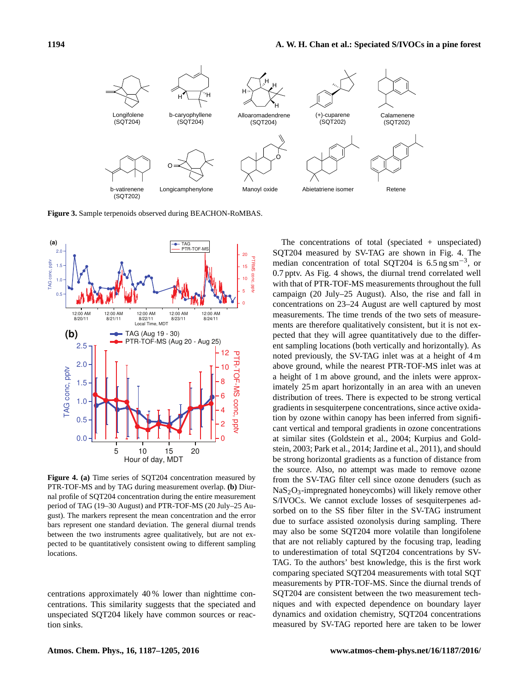<span id="page-7-0"></span>

**Figure 3.** Sample terpenoids observed during BEACHON-RoMBAS.

<span id="page-7-1"></span>

**Figure 4. (a)** Time series of SQT204 concentration measured by PTR-TOF-MS and by TAG during measurement overlap. **(b)** Diurnal profile of SQT204 concentration during the entire measurement period of TAG (19–30 August) and PTR-TOF-MS (20 July–25 August). The markers represent the mean concentration and the error bars represent one standard deviation. The general diurnal trends between the two instruments agree qualitatively, but are not expected to be quantitatively consistent owing to different sampling locations.

centrations approximately 40 % lower than nighttime concentrations. This similarity suggests that the speciated and unspeciated SQT204 likely have common sources or reaction sinks.

The concentrations of total (speciated  $+$  unspeciated) SQT204 measured by SV-TAG are shown in Fig. [4.](#page-7-1) The median concentration of total SQT204 is  $6.5 \text{ ng sm}^{-3}$ , or 0.7 pptv. As Fig. [4](#page-7-1) shows, the diurnal trend correlated well with that of PTR-TOF-MS measurements throughout the full campaign (20 July–25 August). Also, the rise and fall in concentrations on 23–24 August are well captured by most measurements. The time trends of the two sets of measurements are therefore qualitatively consistent, but it is not expected that they will agree quantitatively due to the different sampling locations (both vertically and horizontally). As noted previously, the SV-TAG inlet was at a height of 4 m above ground, while the nearest PTR-TOF-MS inlet was at a height of 1 m above ground, and the inlets were approximately 25 m apart horizontally in an area with an uneven distribution of trees. There is expected to be strong vertical gradients in sesquiterpene concentrations, since active oxidation by ozone within canopy has been inferred from significant vertical and temporal gradients in ozone concentrations at similar sites [\(Goldstein et al.,](#page-15-4) [2004;](#page-15-4) [Kurpius and Gold](#page-16-2)[stein,](#page-16-2) [2003;](#page-16-2) [Park et al.,](#page-17-15) [2014;](#page-17-15) [Jardine et al.,](#page-16-6) [2011\)](#page-16-6), and should be strong horizontal gradients as a function of distance from the source. Also, no attempt was made to remove ozone from the SV-TAG filter cell since ozone denuders (such as NaS2O3-impregnated honeycombs) will likely remove other S/IVOCs. We cannot exclude losses of sesquiterpenes adsorbed on to the SS fiber filter in the SV-TAG instrument due to surface assisted ozonolysis during sampling. There may also be some SQT204 more volatile than longifolene that are not reliably captured by the focusing trap, leading to underestimation of total SQT204 concentrations by SV-TAG. To the authors' best knowledge, this is the first work comparing speciated SQT204 measurements with total SQT measurements by PTR-TOF-MS. Since the diurnal trends of SQT204 are consistent between the two measurement techniques and with expected dependence on boundary layer dynamics and oxidation chemistry, SQT204 concentrations measured by SV-TAG reported here are taken to be lower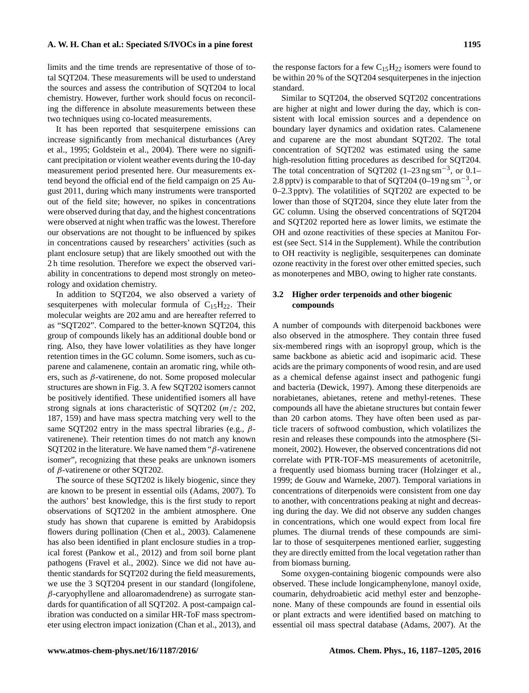limits and the time trends are representative of those of total SQT204. These measurements will be used to understand the sources and assess the contribution of SQT204 to local chemistry. However, further work should focus on reconciling the difference in absolute measurements between these two techniques using co-located measurements.

It has been reported that sesquiterpene emissions can increase significantly from mechanical disturbances [\(Arey](#page-14-5) [et al.,](#page-14-5) [1995;](#page-14-5) [Goldstein et al.,](#page-15-4) [2004\)](#page-15-4). There were no significant precipitation or violent weather events during the 10-day measurement period presented here. Our measurements extend beyond the official end of the field campaign on 25 August 2011, during which many instruments were transported out of the field site; however, no spikes in concentrations were observed during that day, and the highest concentrations were observed at night when traffic was the lowest. Therefore our observations are not thought to be influenced by spikes in concentrations caused by researchers' activities (such as plant enclosure setup) that are likely smoothed out with the 2 h time resolution. Therefore we expect the observed variability in concentrations to depend most strongly on meteorology and oxidation chemistry.

In addition to SQT204, we also observed a variety of sesquiterpenes with molecular formula of  $C_{15}H_{22}$ . Their molecular weights are 202 amu and are hereafter referred to as "SQT202". Compared to the better-known SQT204, this group of compounds likely has an additional double bond or ring. Also, they have lower volatilities as they have longer retention times in the GC column. Some isomers, such as cuparene and calamenene, contain an aromatic ring, while others, such as β-vatirenene, do not. Some proposed molecular structures are shown in Fig. [3.](#page-7-0) A few SQT202 isomers cannot be positively identified. These unidentified isomers all have strong signals at ions characteristic of SQT202 (m/z 202, 187, 159) and have mass spectra matching very well to the same SQT202 entry in the mass spectral libraries (e.g.,  $\beta$ vatirenene). Their retention times do not match any known SQT202 in the literature. We have named them " $\beta$ -vatirenene isomer", recognizing that these peaks are unknown isomers of β-vatirenene or other SQT202.

The source of these SQT202 is likely biogenic, since they are known to be present in essential oils [\(Adams,](#page-14-3) [2007\)](#page-14-3). To the authors' best knowledge, this is the first study to report observations of SQT202 in the ambient atmosphere. One study has shown that cuparene is emitted by Arabidopsis flowers during pollination [\(Chen et al.,](#page-15-13) [2003\)](#page-15-13). Calamenene has also been identified in plant enclosure studies in a tropical forest [\(Pankow et al.,](#page-17-16) [2012\)](#page-17-16) and from soil borne plant pathogens [\(Fravel et al.,](#page-15-14) [2002\)](#page-15-14). Since we did not have authentic standards for SQT202 during the field measurements, we use the 3 SQT204 present in our standard (longifolene,  $\beta$ -caryophyllene and alloaromadendrene) as surrogate standards for quantification of all SQT202. A post-campaign calibration was conducted on a similar HR-ToF mass spectrometer using electron impact ionization [\(Chan et al.,](#page-15-15) [2013\)](#page-15-15), and the response factors for a few  $C_{15}H_{22}$  isomers were found to be within 20 % of the SQT204 sesquiterpenes in the injection standard.

Similar to SQT204, the observed SQT202 concentrations are higher at night and lower during the day, which is consistent with local emission sources and a dependence on boundary layer dynamics and oxidation rates. Calamenene and cuparene are the most abundant SQT202. The total concentration of SQT202 was estimated using the same high-resolution fitting procedures as described for SQT204. The total concentration of SQT202 (1–23 ng sm−<sup>3</sup> , or 0.1– 2.8 pptv) is comparable to that of SQT204 (0–19 ng sm<sup>-3</sup>, or 0–2.3 pptv). The volatilities of SQT202 are expected to be lower than those of SQT204, since they elute later from the GC column. Using the observed concentrations of SQT204 and SQT202 reported here as lower limits, we estimate the OH and ozone reactivities of these species at Manitou Forest (see Sect. S14 in the Supplement). While the contribution to OH reactivity is negligible, sesquiterpenes can dominate ozone reactivity in the forest over other emitted species, such as monoterpenes and MBO, owing to higher rate constants.

# **3.2 Higher order terpenoids and other biogenic compounds**

A number of compounds with diterpenoid backbones were also observed in the atmosphere. They contain three fused six-membered rings with an isopropyl group, which is the same backbone as abietic acid and isopimaric acid. These acids are the primary components of wood resin, and are used as a chemical defense against insect and pathogenic fungi and bacteria [\(Dewick,](#page-15-16) [1997\)](#page-15-16). Among these diterpenoids are norabietanes, abietanes, retene and methyl-retenes. These compounds all have the abietane structures but contain fewer than 20 carbon atoms. They have often been used as particle tracers of softwood combustion, which volatilizes the resin and releases these compounds into the atmosphere [\(Si](#page-17-17)[moneit,](#page-17-17) [2002\)](#page-17-17). However, the observed concentrations did not correlate with PTR-TOF-MS measurements of acetonitrile, a frequently used biomass burning tracer [\(Holzinger et al.,](#page-16-16) [1999;](#page-16-16) [de Gouw and Warneke,](#page-15-17) [2007\)](#page-15-17). Temporal variations in concentrations of diterpenoids were consistent from one day to another, with concentrations peaking at night and decreasing during the day. We did not observe any sudden changes in concentrations, which one would expect from local fire plumes. The diurnal trends of these compounds are similar to those of sesquiterpenes mentioned earlier, suggesting they are directly emitted from the local vegetation rather than from biomass burning.

Some oxygen-containing biogenic compounds were also observed. These include longicamphenylone, manoyl oxide, coumarin, dehydroabietic acid methyl ester and benzophenone. Many of these compounds are found in essential oils or plant extracts and were identified based on matching to essential oil mass spectral database [\(Adams,](#page-14-3) [2007\)](#page-14-3). At the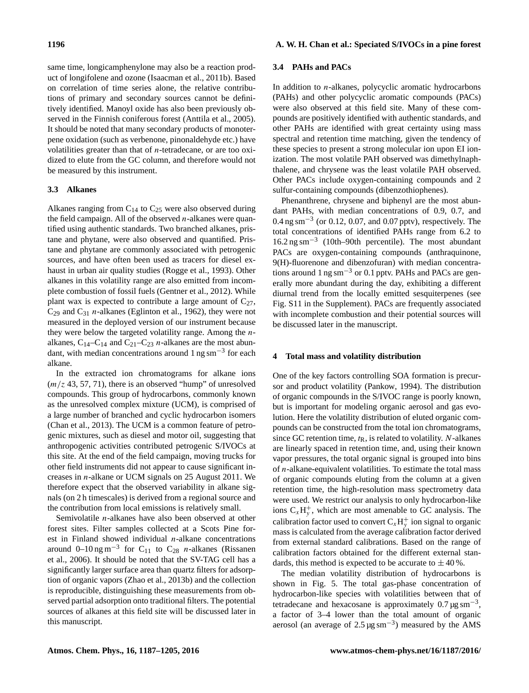same time, longicamphenylone may also be a reaction product of longifolene and ozone [\(Isaacman et al.,](#page-16-17) [2011b\)](#page-16-17). Based on correlation of time series alone, the relative contributions of primary and secondary sources cannot be definitively identified. Manoyl oxide has also been previously observed in the Finnish coniferous forest [\(Anttila et al.,](#page-14-6) [2005\)](#page-14-6). It should be noted that many secondary products of monoterpene oxidation (such as verbenone, pinonaldehyde etc.) have volatilities greater than that of  $n$ -tetradecane, or are too oxidized to elute from the GC column, and therefore would not be measured by this instrument.

# **3.3 Alkanes**

Alkanes ranging from  $C_{14}$  to  $C_{25}$  were also observed during the field campaign. All of the observed  $n$ -alkanes were quantified using authentic standards. Two branched alkanes, pristane and phytane, were also observed and quantified. Pristane and phytane are commonly associated with petrogenic sources, and have often been used as tracers for diesel exhaust in urban air quality studies [\(Rogge et al.,](#page-17-18) [1993\)](#page-17-18). Other alkanes in this volatility range are also emitted from incomplete combustion of fossil fuels [\(Gentner et al.,](#page-15-18) [2012\)](#page-15-18). While plant wax is expected to contribute a large amount of  $C_{27}$ ,  $C_{29}$  and  $C_{31}$  *n*-alkanes [\(Eglinton et al.,](#page-15-19) [1962\)](#page-15-19), they were not measured in the deployed version of our instrument because they were below the targeted volatility range. Among the nalkanes,  $C_{14}-C_{14}$  and  $C_{21}-C_{23}$  *n*-alkanes are the most abundant, with median concentrations around  $1 \text{ ng sm}^{-3}$  for each alkane.

In the extracted ion chromatograms for alkane ions  $(m/z 43, 57, 71)$ , there is an observed "hump" of unresolved compounds. This group of hydrocarbons, commonly known as the unresolved complex mixture (UCM), is comprised of a large number of branched and cyclic hydrocarbon isomers [\(Chan et al.,](#page-15-15) [2013\)](#page-15-15). The UCM is a common feature of petrogenic mixtures, such as diesel and motor oil, suggesting that anthropogenic activities contributed petrogenic S/IVOCs at this site. At the end of the field campaign, moving trucks for other field instruments did not appear to cause significant increases in n-alkane or UCM signals on 25 August 2011. We therefore expect that the observed variability in alkane signals (on 2 h timescales) is derived from a regional source and the contribution from local emissions is relatively small.

Semivolatile *n*-alkanes have also been observed at other forest sites. Filter samples collected at a Scots Pine forest in Finland showed individual  $n$ -alkane concentrations around 0–10 ng m<sup>-3</sup> for C<sub>11</sub> to C<sub>28</sub> *n*-alkanes [\(Rissanen](#page-17-5) [et al.,](#page-17-5) [2006\)](#page-17-5). It should be noted that the SV-TAG cell has a significantly larger surface area than quartz filters for adsorption of organic vapors [\(Zhao et al.,](#page-18-1) [2013b\)](#page-18-1) and the collection is reproducible, distinguishing these measurements from observed partial adsorption onto traditional filters. The potential sources of alkanes at this field site will be discussed later in this manuscript.

#### **3.4 PAHs and PACs**

In addition to  $n$ -alkanes, polycyclic aromatic hydrocarbons (PAHs) and other polycyclic aromatic compounds (PACs) were also observed at this field site. Many of these compounds are positively identified with authentic standards, and other PAHs are identified with great certainty using mass spectral and retention time matching, given the tendency of these species to present a strong molecular ion upon EI ionization. The most volatile PAH observed was dimethylnaphthalene, and chrysene was the least volatile PAH observed. Other PACs include oxygen-containing compounds and 2 sulfur-containing compounds (dibenzothiophenes).

Phenanthrene, chrysene and biphenyl are the most abundant PAHs, with median concentrations of 0.9, 0.7, and 0.4 ng sm−<sup>3</sup> (or 0.12, 0.07, and 0.07 pptv), respectively. The total concentrations of identified PAHs range from 6.2 to 16.2 ng sm−<sup>3</sup> (10th–90th percentile). The most abundant PACs are oxygen-containing compounds (anthraquinone, 9(H)-fluorenone and dibenzofuran) with median concentrations around 1 ng sm<sup>-3</sup> or 0.1 pptv. PAHs and PACs are generally more abundant during the day, exhibiting a different diurnal trend from the locally emitted sesquiterpenes (see Fig. S11 in the Supplement). PACs are frequently associated with incomplete combustion and their potential sources will be discussed later in the manuscript.

# **4 Total mass and volatility distribution**

One of the key factors controlling SOA formation is precursor and product volatility [\(Pankow,](#page-17-19) [1994\)](#page-17-19). The distribution of organic compounds in the S/IVOC range is poorly known, but is important for modeling organic aerosol and gas evolution. Here the volatility distribution of eluted organic compounds can be constructed from the total ion chromatograms, since GC retention time,  $t<sub>R</sub>$ , is related to volatility. N-alkanes are linearly spaced in retention time, and, using their known vapor pressures, the total organic signal is grouped into bins of  $n$ -alkane-equivalent volatilities. To estimate the total mass of organic compounds eluting from the column at a given retention time, the high-resolution mass spectrometry data were used. We restrict our analysis to only hydrocarbon-like ions  $C_xH_y^+$ , which are most amenable to GC analysis. The calibration factor used to convert  $C_x H_y^+$  ion signal to organic mass is calculated from the average calibration factor derived from external standard calibrations. Based on the range of calibration factors obtained for the different external standards, this method is expected to be accurate to  $\pm 40\%$ .

The median volatility distribution of hydrocarbons is shown in Fig. [5.](#page-10-0) The total gas-phase concentration of hydrocarbon-like species with volatilities between that of tetradecane and hexacosane is approximately  $0.7 \,\text{\mu g\,sm}^{-3}$ , a factor of 3–4 lower than the total amount of organic aerosol (an average of  $2.5 \mu g \text{ s} \text{m}^{-3}$ ) measured by the AMS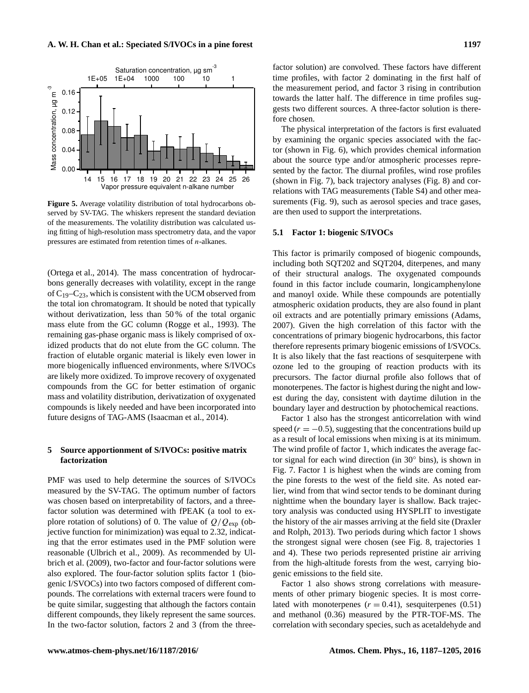Mass concentration, µg m

-3

<span id="page-10-0"></span>

14 15 16 17 18 19 20 21 22 23 24 25 26 Vapor pressure equivalent n-alkane number

**Figure 5.** Average volatility distribution of total hydrocarbons observed by SV-TAG. The whiskers represent the standard deviation of the measurements. The volatility distribution was calculated using fitting of high-resolution mass spectrometry data, and the vapor pressures are estimated from retention times of n-alkanes.

[\(Ortega et al.,](#page-17-6) [2014\)](#page-17-6). The mass concentration of hydrocarbons generally decreases with volatility, except in the range of  $C_{19}-C_{23}$ , which is consistent with the UCM observed from the total ion chromatogram. It should be noted that typically without derivatization, less than 50% of the total organic mass elute from the GC column [\(Rogge et al.,](#page-17-18) [1993\)](#page-17-18). The remaining gas-phase organic mass is likely comprised of oxidized products that do not elute from the GC column. The fraction of elutable organic material is likely even lower in more biogenically influenced environments, where S/IVOCs are likely more oxidized. To improve recovery of oxygenated compounds from the GC for better estimation of organic mass and volatility distribution, derivatization of oxygenated compounds is likely needed and have been incorporated into future designs of TAG-AMS [\(Isaacman et al.,](#page-16-18) [2014\)](#page-16-18).

# **5 Source apportionment of S/IVOCs: positive matrix factorization**

PMF was used to help determine the sources of S/IVOCs measured by the SV-TAG. The optimum number of factors was chosen based on interpretability of factors, and a threefactor solution was determined with fPEAK (a tool to explore rotation of solutions) of 0. The value of  $Q/Q_{\rm exp}$  (objective function for minimization) was equal to 2.32, indicating that the error estimates used in the PMF solution were reasonable [\(Ulbrich et al.,](#page-17-11) [2009\)](#page-17-11). As recommended by [Ul](#page-17-11)[brich et al.](#page-17-11) [\(2009\)](#page-17-11), two-factor and four-factor solutions were also explored. The four-factor solution splits factor 1 (biogenic I/SVOCs) into two factors composed of different compounds. The correlations with external tracers were found to be quite similar, suggesting that although the factors contain different compounds, they likely represent the same sources. In the two-factor solution, factors 2 and 3 (from the three-

factor solution) are convolved. These factors have different time profiles, with factor 2 dominating in the first half of the measurement period, and factor 3 rising in contribution towards the latter half. The difference in time profiles suggests two different sources. A three-factor solution is therefore chosen.

The physical interpretation of the factors is first evaluated by examining the organic species associated with the factor (shown in Fig. [6\)](#page-11-0), which provides chemical information about the source type and/or atmospheric processes represented by the factor. The diurnal profiles, wind rose profiles (shown in Fig. [7\)](#page-12-0), back trajectory analyses (Fig. [8\)](#page-12-1) and correlations with TAG measurements (Table S4) and other mea-surements (Fig. [9\)](#page-13-0), such as aerosol species and trace gases, are then used to support the interpretations.

#### **5.1 Factor 1: biogenic S/IVOCs**

This factor is primarily composed of biogenic compounds, including both SQT202 and SQT204, diterpenes, and many of their structural analogs. The oxygenated compounds found in this factor include coumarin, longicamphenylone and manoyl oxide. While these compounds are potentially atmospheric oxidation products, they are also found in plant oil extracts and are potentially primary emissions [\(Adams,](#page-14-3) [2007\)](#page-14-3). Given the high correlation of this factor with the concentrations of primary biogenic hydrocarbons, this factor therefore represents primary biogenic emissions of I/SVOCs. It is also likely that the fast reactions of sesquiterpene with ozone led to the grouping of reaction products with its precursors. The factor diurnal profile also follows that of monoterpenes. The factor is highest during the night and lowest during the day, consistent with daytime dilution in the boundary layer and destruction by photochemical reactions.

Factor 1 also has the strongest anticorrelation with wind speed  $(r = -0.5)$ , suggesting that the concentrations build up as a result of local emissions when mixing is at its minimum. The wind profile of factor 1, which indicates the average factor signal for each wind direction (in 30◦ bins), is shown in Fig. [7.](#page-12-0) Factor 1 is highest when the winds are coming from the pine forests to the west of the field site. As noted earlier, wind from that wind sector tends to be dominant during nighttime when the boundary layer is shallow. Back trajectory analysis was conducted using HYSPLIT to investigate the history of the air masses arriving at the field site [\(Draxler](#page-15-20) [and Rolph,](#page-15-20) [2013\)](#page-15-20). Two periods during which factor 1 shows the strongest signal were chosen (see Fig. [8,](#page-12-1) trajectories 1 and 4). These two periods represented pristine air arriving from the high-altitude forests from the west, carrying biogenic emissions to the field site.

Factor 1 also shows strong correlations with measurements of other primary biogenic species. It is most correlated with monoterpenes  $(r = 0.41)$ , sesquiterpenes  $(0.51)$ and methanol (0.36) measured by the PTR-TOF-MS. The correlation with secondary species, such as acetaldehyde and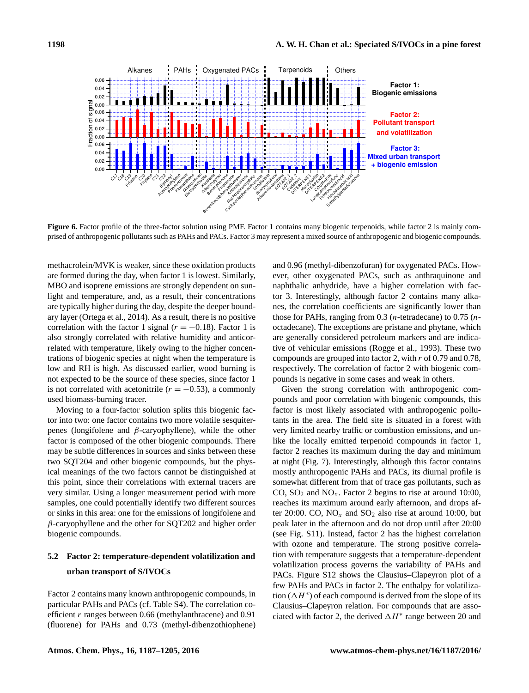<span id="page-11-0"></span>

**Figure 6.** Factor profile of the three-factor solution using PMF. Factor 1 contains many biogenic terpenoids, while factor 2 is mainly comprised of anthropogenic pollutants such as PAHs and PACs. Factor 3 may represent a mixed source of anthropogenic and biogenic compounds.

methacrolein/MVK is weaker, since these oxidation products are formed during the day, when factor 1 is lowest. Similarly, MBO and isoprene emissions are strongly dependent on sunlight and temperature, and, as a result, their concentrations are typically higher during the day, despite the deeper boundary layer [\(Ortega et al.,](#page-17-6) [2014\)](#page-17-6). As a result, there is no positive correlation with the factor 1 signal ( $r = -0.18$ ). Factor 1 is also strongly correlated with relative humidity and anticorrelated with temperature, likely owing to the higher concentrations of biogenic species at night when the temperature is low and RH is high. As discussed earlier, wood burning is not expected to be the source of these species, since factor 1 is not correlated with acetonitrile  $(r = -0.53)$ , a commonly used biomass-burning tracer.

Moving to a four-factor solution splits this biogenic factor into two: one factor contains two more volatile sesquiterpenes (longifolene and  $β$ -caryophyllene), while the other factor is composed of the other biogenic compounds. There may be subtle differences in sources and sinks between these two SQT204 and other biogenic compounds, but the physical meanings of the two factors cannot be distinguished at this point, since their correlations with external tracers are very similar. Using a longer measurement period with more samples, one could potentially identify two different sources or sinks in this area: one for the emissions of longifolene and  $\beta$ -caryophyllene and the other for SQT202 and higher order biogenic compounds.

# **5.2 Factor 2: temperature-dependent volatilization and urban transport of S/IVOCs**

Factor 2 contains many known anthropogenic compounds, in particular PAHs and PACs (cf. Table S4). The correlation coefficient  $r$  ranges between 0.66 (methylanthracene) and 0.91 (fluorene) for PAHs and 0.73 (methyl-dibenzothiophene) and 0.96 (methyl-dibenzofuran) for oxygenated PACs. However, other oxygenated PACs, such as anthraquinone and naphthalic anhydride, have a higher correlation with factor 3. Interestingly, although factor 2 contains many alkanes, the correlation coefficients are significantly lower than those for PAHs, ranging from  $0.3$  (*n*-tetradecane) to  $0.75$  (*n*octadecane). The exceptions are pristane and phytane, which are generally considered petroleum markers and are indicative of vehicular emissions [\(Rogge et al.,](#page-17-18) [1993\)](#page-17-18). These two compounds are grouped into factor 2, with r of 0.79 and 0.78, respectively. The correlation of factor 2 with biogenic compounds is negative in some cases and weak in others.

Given the strong correlation with anthropogenic compounds and poor correlation with biogenic compounds, this factor is most likely associated with anthropogenic pollutants in the area. The field site is situated in a forest with very limited nearby traffic or combustion emissions, and unlike the locally emitted terpenoid compounds in factor 1, factor 2 reaches its maximum during the day and minimum at night (Fig. [7\)](#page-12-0). Interestingly, although this factor contains mostly anthropogenic PAHs and PACs, its diurnal profile is somewhat different from that of trace gas pollutants, such as CO,  $SO_2$  and  $NO_x$ . Factor 2 begins to rise at around 10:00, reaches its maximum around early afternoon, and drops after 20:00. CO,  $NO<sub>x</sub>$  and  $SO<sub>2</sub>$  also rise at around 10:00, but peak later in the afternoon and do not drop until after 20:00 (see Fig. S11). Instead, factor 2 has the highest correlation with ozone and temperature. The strong positive correlation with temperature suggests that a temperature-dependent volatilization process governs the variability of PAHs and PACs. Figure S12 shows the Clausius–Clapeyron plot of a few PAHs and PACs in factor 2. The enthalpy for volatilization ( $\Delta H^*$ ) of each compound is derived from the slope of its Clausius–Clapeyron relation. For compounds that are associated with factor 2, the derived  $\Delta H^*$  range between 20 and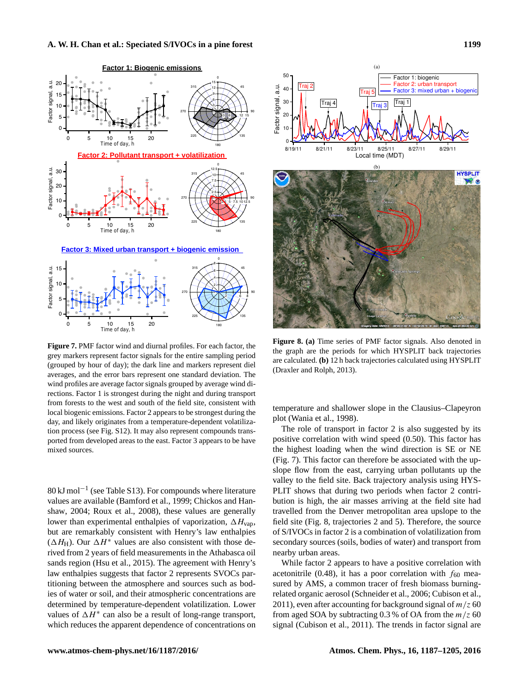<span id="page-12-0"></span>

**Figure 7.** PMF factor wind and diurnal profiles. For each factor, the grey markers represent factor signals for the entire sampling period (grouped by hour of day); the dark line and markers represent diel averages, and the error bars represent one standard deviation. The wind profiles are average factor signals grouped by average wind directions. Factor 1 is strongest during the night and during transport from forests to the west and south of the field site, consistent with local biogenic emissions. Factor 2 appears to be strongest during the day, and likely originates from a temperature-dependent volatilization process (see Fig. S12). It may also represent compounds transported from developed areas to the east. Factor 3 appears to be have mixed sources.

80 kJ mol−<sup>1</sup> (see Table S13). For compounds where literature values are available [\(Bamford et al.,](#page-14-7) [1999;](#page-14-7) [Chickos and Han](#page-15-21)[shaw,](#page-15-21) [2004;](#page-15-21) [Roux et al.,](#page-17-20) [2008\)](#page-17-20), these values are generally lower than experimental enthalpies of vaporization,  $\Delta H_{\text{van}}$ , but are remarkably consistent with Henry's law enthalpies  $(\Delta H_H)$ . Our  $\Delta H^*$  values are also consistent with those derived from 2 years of field measurements in the Athabasca oil sands region [\(Hsu et al.,](#page-16-19) [2015\)](#page-16-19). The agreement with Henry's law enthalpies suggests that factor 2 represents SVOCs partitioning between the atmosphere and sources such as bodies of water or soil, and their atmospheric concentrations are determined by temperature-dependent volatilization. Lower values of  $\Delta H^*$  can also be a result of long-range transport, which reduces the apparent dependence of concentrations on

<span id="page-12-1"></span>

**Figure 8. (a)** Time series of PMF factor signals. Also denoted in the graph are the periods for which HYSPLIT back trajectories are calculated. **(b)** 12 h back trajectories calculated using HYSPLIT [\(Draxler and Rolph,](#page-15-20) [2013\)](#page-15-20).

temperature and shallower slope in the Clausius–Clapeyron plot [\(Wania et al.,](#page-17-21) [1998\)](#page-17-21).

The role of transport in factor 2 is also suggested by its positive correlation with wind speed (0.50). This factor has the highest loading when the wind direction is SE or NE (Fig. [7\)](#page-12-0). This factor can therefore be associated with the upslope flow from the east, carrying urban pollutants up the valley to the field site. Back trajectory analysis using HYS-PLIT shows that during two periods when factor 2 contribution is high, the air masses arriving at the field site had travelled from the Denver metropolitan area upslope to the field site (Fig. [8,](#page-12-1) trajectories 2 and 5). Therefore, the source of S/IVOCs in factor 2 is a combination of volatilization from secondary sources (soils, bodies of water) and transport from nearby urban areas.

While factor 2 appears to have a positive correlation with acetonitrile (0.48), it has a poor correlation with  $f_{60}$  measured by AMS, a common tracer of fresh biomass burningrelated organic aerosol [\(Schneider et al.,](#page-17-22) [2006;](#page-17-22) [Cubison et al.,](#page-15-22) [2011\)](#page-15-22), even after accounting for background signal of  $m/z$  60 from aged SOA by subtracting 0.3 % of OA from the  $m/z$  60 signal [\(Cubison et al.,](#page-15-22) [2011\)](#page-15-22). The trends in factor signal are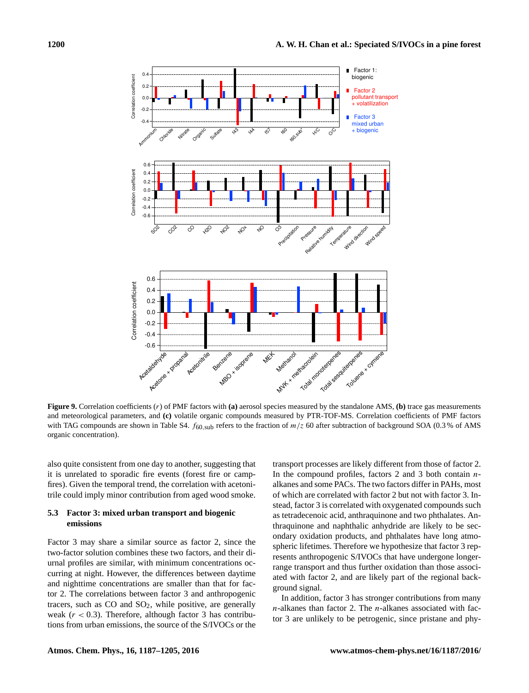<span id="page-13-0"></span>

**Figure 9.** Correlation coefficients (r) of PMF factors with **(a)** aerosol species measured by the standalone AMS, **(b)** trace gas measurements and meteorological parameters, and **(c)** volatile organic compounds measured by PTR-TOF-MS. Correlation coefficients of PMF factors with TAG compounds are shown in Table S4.  $f_{60,sub}$  refers to the fraction of  $m/z$  60 after subtraction of background SOA (0.3 % of AMS organic concentration).

also quite consistent from one day to another, suggesting that it is unrelated to sporadic fire events (forest fire or campfires). Given the temporal trend, the correlation with acetonitrile could imply minor contribution from aged wood smoke.

# **5.3 Factor 3: mixed urban transport and biogenic emissions**

Factor 3 may share a similar source as factor 2, since the two-factor solution combines these two factors, and their diurnal profiles are similar, with minimum concentrations occurring at night. However, the differences between daytime and nighttime concentrations are smaller than that for factor 2. The correlations between factor 3 and anthropogenic tracers, such as  $CO$  and  $SO<sub>2</sub>$ , while positive, are generally weak  $(r < 0.3)$ . Therefore, although factor 3 has contributions from urban emissions, the source of the S/IVOCs or the transport processes are likely different from those of factor 2. In the compound profiles, factors 2 and 3 both contain  $n$ alkanes and some PACs. The two factors differ in PAHs, most of which are correlated with factor 2 but not with factor 3. Instead, factor 3 is correlated with oxygenated compounds such as tetradecenoic acid, anthraquinone and two phthalates. Anthraquinone and naphthalic anhydride are likely to be secondary oxidation products, and phthalates have long atmospheric lifetimes. Therefore we hypothesize that factor 3 represents anthropogenic S/IVOCs that have undergone longerrange transport and thus further oxidation than those associated with factor 2, and are likely part of the regional background signal.

In addition, factor 3 has stronger contributions from many  $n$ -alkanes than factor 2. The  $n$ -alkanes associated with factor 3 are unlikely to be petrogenic, since pristane and phy-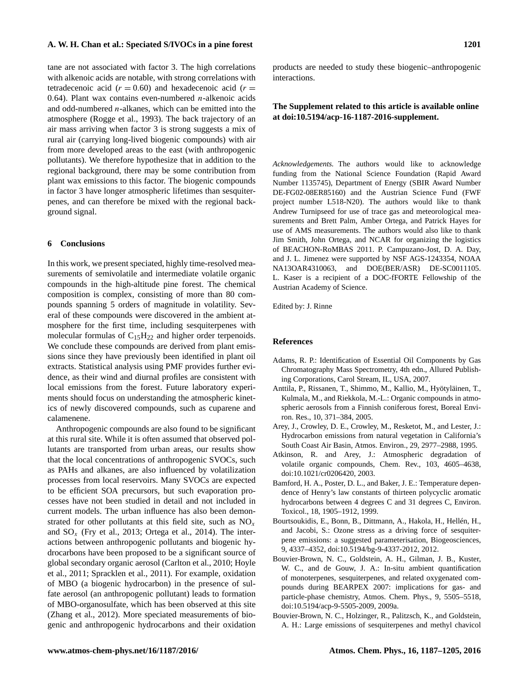tane are not associated with factor 3. The high correlations with alkenoic acids are notable, with strong correlations with tetradecenoic acid ( $r = 0.60$ ) and hexadecenoic acid ( $r =$ 0.64). Plant wax contains even-numbered  $n$ -alkenoic acids and odd-numbered  $n$ -alkanes, which can be emitted into the atmosphere [\(Rogge et al.,](#page-17-18) [1993\)](#page-17-18). The back trajectory of an air mass arriving when factor 3 is strong suggests a mix of rural air (carrying long-lived biogenic compounds) with air from more developed areas to the east (with anthropogenic pollutants). We therefore hypothesize that in addition to the regional background, there may be some contribution from plant wax emissions to this factor. The biogenic compounds in factor 3 have longer atmospheric lifetimes than sesquiterpenes, and can therefore be mixed with the regional background signal.

# **6 Conclusions**

In this work, we present speciated, highly time-resolved measurements of semivolatile and intermediate volatile organic compounds in the high-altitude pine forest. The chemical composition is complex, consisting of more than 80 compounds spanning 5 orders of magnitude in volatility. Several of these compounds were discovered in the ambient atmosphere for the first time, including sesquiterpenes with molecular formulas of  $C_{15}H_{22}$  and higher order terpenoids. We conclude these compounds are derived from plant emissions since they have previously been identified in plant oil extracts. Statistical analysis using PMF provides further evidence, as their wind and diurnal profiles are consistent with local emissions from the forest. Future laboratory experiments should focus on understanding the atmospheric kinetics of newly discovered compounds, such as cuparene and calamenene.

Anthropogenic compounds are also found to be significant at this rural site. While it is often assumed that observed pollutants are transported from urban areas, our results show that the local concentrations of anthropogenic SVOCs, such as PAHs and alkanes, are also influenced by volatilization processes from local reservoirs. Many SVOCs are expected to be efficient SOA precursors, but such evaporation processes have not been studied in detail and not included in current models. The urban influence has also been demonstrated for other pollutants at this field site, such as  $NO<sub>x</sub>$ and  $SO_x$  [\(Fry et al.,](#page-15-23) [2013;](#page-15-23) [Ortega et al.,](#page-17-6) [2014\)](#page-17-6). The interactions between anthropogenic pollutants and biogenic hydrocarbons have been proposed to be a significant source of global secondary organic aerosol [\(Carlton et al.,](#page-15-24) [2010;](#page-15-24) [Hoyle](#page-16-20) [et al.,](#page-16-20) [2011;](#page-16-20) [Spracklen et al.,](#page-17-3) [2011\)](#page-17-3). For example, oxidation of MBO (a biogenic hydrocarbon) in the presence of sulfate aerosol (an anthropogenic pollutant) leads to formation of MBO-organosulfate, which has been observed at this site [\(Zhang et al.,](#page-18-3) [2012\)](#page-18-3). More speciated measurements of biogenic and anthropogenic hydrocarbons and their oxidation products are needed to study these biogenic–anthropogenic interactions.

# **The Supplement related to this article is available online at [doi:10.5194/acp-16-1187-2016-supplement.](http://dx.doi.org/10.5194/acp-16-1187-2016-supplement)**

*Acknowledgements.* The authors would like to acknowledge funding from the National Science Foundation (Rapid Award Number 1135745), Department of Energy (SBIR Award Number DE-FG02-08ER85160) and the Austrian Science Fund (FWF project number L518-N20). The authors would like to thank Andrew Turnipseed for use of trace gas and meteorological measurements and Brett Palm, Amber Ortega, and Patrick Hayes for use of AMS measurements. The authors would also like to thank Jim Smith, John Ortega, and NCAR for organizing the logistics of BEACHON-RoMBAS 2011. P. Campuzano-Jost, D. A. Day, and J. L. Jimenez were supported by NSF AGS-1243354, NOAA NA13OAR4310063, and DOE(BER/ASR) DE-SC0011105. L. Kaser is a recipient of a DOC-fFORTE Fellowship of the Austrian Academy of Science.

Edited by: J. Rinne

# **References**

- <span id="page-14-3"></span>Adams, R. P.: Identification of Essential Oil Components by Gas Chromatography Mass Spectrometry, 4th edn., Allured Publishing Corporations, Carol Stream, IL, USA, 2007.
- <span id="page-14-6"></span>Anttila, P., Rissanen, T., Shimmo, M., Kallio, M., Hyötyläinen, T., Kulmala, M., and Riekkola, M.-L.: Organic compounds in atmospheric aerosols from a Finnish coniferous forest, Boreal Environ. Res., 10, 371–384, 2005.
- <span id="page-14-5"></span>Arey, J., Crowley, D. E., Crowley, M., Resketot, M., and Lester, J.: Hydrocarbon emissions from natural vegetation in California's South Coast Air Basin, Atmos. Environ., 29, 2977–2988, 1995.
- <span id="page-14-4"></span>Atkinson, R. and Arey, J.: Atmospheric degradation of volatile organic compounds, Chem. Rev., 103, 4605–4638, doi[:10.1021/cr0206420,](http://dx.doi.org/10.1021/cr0206420) 2003.
- <span id="page-14-7"></span>Bamford, H. A., Poster, D. L., and Baker, J. E.: Temperature dependence of Henry's law constants of thirteen polycyclic aromatic hydrocarbons between 4 degrees C and 31 degrees C, Environ. Toxicol., 18, 1905–1912, 1999.
- <span id="page-14-2"></span>Bourtsoukidis, E., Bonn, B., Dittmann, A., Hakola, H., Hellén, H., and Jacobi, S.: Ozone stress as a driving force of sesquiterpene emissions: a suggested parameterisation, Biogeosciences, 9, 4337–4352, doi[:10.5194/bg-9-4337-2012,](http://dx.doi.org/10.5194/bg-9-4337-2012) 2012.
- <span id="page-14-0"></span>Bouvier-Brown, N. C., Goldstein, A. H., Gilman, J. B., Kuster, W. C., and de Gouw, J. A.: In-situ ambient quantification of monoterpenes, sesquiterpenes, and related oxygenated compounds during BEARPEX 2007: implications for gas- and particle-phase chemistry, Atmos. Chem. Phys., 9, 5505–5518, doi[:10.5194/acp-9-5505-2009,](http://dx.doi.org/10.5194/acp-9-5505-2009) 2009a.
- <span id="page-14-1"></span>Bouvier-Brown, N. C., Holzinger, R., Palitzsch, K., and Goldstein, A. H.: Large emissions of sesquiterpenes and methyl chavicol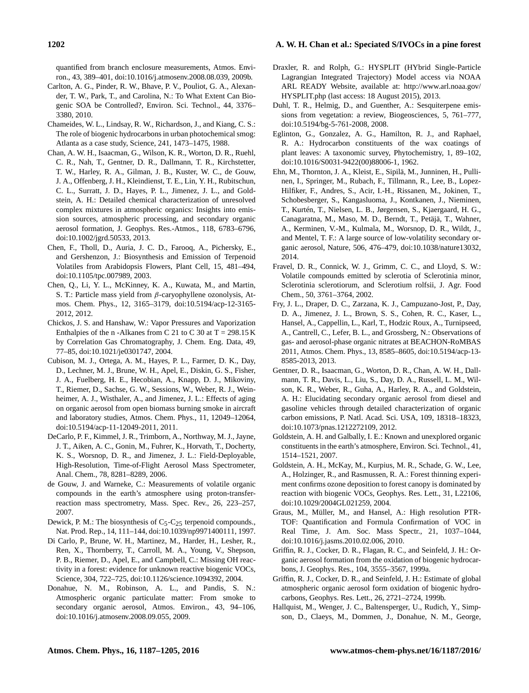quantified from branch enclosure measurements, Atmos. Environ., 43, 389–401, doi[:10.1016/j.atmosenv.2008.08.039,](http://dx.doi.org/10.1016/j.atmosenv.2008.08.039) 2009b.

- <span id="page-15-24"></span>Carlton, A. G., Pinder, R. W., Bhave, P. V., Pouliot, G. A., Alexander, T. W., Park, T., and Carolina, N.: To What Extent Can Biogenic SOA be Controlled?, Environ. Sci. Technol., 44, 3376– 3380, 2010.
- <span id="page-15-1"></span>Chameides, W. L., Lindsay, R. W., Richardson, J., and Kiang, C. S.: The role of biogenic hydrocarbons in urban photochemical smog: Atlanta as a case study, Science, 241, 1473–1475, 1988.
- <span id="page-15-15"></span>Chan, A. W. H., Isaacman, G., Wilson, K. R., Worton, D. R., Ruehl, C. R., Nah, T., Gentner, D. R., Dallmann, T. R., Kirchstetter, T. W., Harley, R. A., Gilman, J. B., Kuster, W. C., de Gouw, J. A., Offenberg, J. H., Kleindienst, T. E., Lin, Y. H., Rubitschun, C. L., Surratt, J. D., Hayes, P. L., Jimenez, J. L., and Goldstein, A. H.: Detailed chemical characterization of unresolved complex mixtures in atmospheric organics: Insights into emission sources, atmospheric processing, and secondary organic aerosol formation, J. Geophys. Res.-Atmos., 118, 6783–6796, doi[:10.1002/jgrd.50533,](http://dx.doi.org/10.1002/jgrd.50533) 2013.
- <span id="page-15-13"></span>Chen, F., Tholl, D., Auria, J. C. D., Farooq, A., Pichersky, E., and Gershenzon, J.: Biosynthesis and Emission of Terpenoid Volatiles from Arabidopsis Flowers, Plant Cell, 15, 481–494, doi[:10.1105/tpc.007989,](http://dx.doi.org/10.1105/tpc.007989) 2003.
- <span id="page-15-9"></span>Chen, Q., Li, Y. L., McKinney, K. A., Kuwata, M., and Martin, S. T.: Particle mass yield from β-caryophyllene ozonolysis, Atmos. Chem. Phys., 12, 3165–3179, doi[:10.5194/acp-12-3165-](http://dx.doi.org/10.5194/acp-12-3165-2012) [2012,](http://dx.doi.org/10.5194/acp-12-3165-2012) 2012.
- <span id="page-15-21"></span>Chickos, J. S. and Hanshaw, W.: Vapor Pressures and Vaporization Enthalpies of the n -Alkanes from C 21 to C 30 at  $T = 298.15$  K by Correlation Gas Chromatography, J. Chem. Eng. Data, 49, 77–85, doi[:10.1021/je0301747,](http://dx.doi.org/10.1021/je0301747) 2004.
- <span id="page-15-22"></span>Cubison, M. J., Ortega, A. M., Hayes, P. L., Farmer, D. K., Day, D., Lechner, M. J., Brune, W. H., Apel, E., Diskin, G. S., Fisher, J. A., Fuelberg, H. E., Hecobian, A., Knapp, D. J., Mikoviny, T., Riemer, D., Sachse, G. W., Sessions, W., Weber, R. J., Weinheimer, A. J., Wisthaler, A., and Jimenez, J. L.: Effects of aging on organic aerosol from open biomass burning smoke in aircraft and laboratory studies, Atmos. Chem. Phys., 11, 12049–12064, doi[:10.5194/acp-11-12049-2011,](http://dx.doi.org/10.5194/acp-11-12049-2011) 2011.
- <span id="page-15-11"></span>DeCarlo, P. F., Kimmel, J. R., Trimborn, A., Northway, M. J., Jayne, J. T., Aiken, A. C., Gonin, M., Fuhrer, K., Horvath, T., Docherty, K. S., Worsnop, D. R., and Jimenez, J. L.: Field-Deployable, High-Resolution, Time-of-Flight Aerosol Mass Spectrometer, Anal. Chem., 78, 8281–8289, 2006.
- <span id="page-15-17"></span>de Gouw, J. and Warneke, C.: Measurements of volatile organic compounds in the earth's atmosphere using proton-transferreaction mass spectrometry, Mass. Spec. Rev., 26, 223–257, 2007.
- <span id="page-15-16"></span>Dewick, P. M.: The biosynthesis of  $C_5-C_{25}$  terpenoid compounds., Nat. Prod. Rep., 14, 111–144, doi[:10.1039/np9971400111,](http://dx.doi.org/10.1039/np9971400111) 1997.
- <span id="page-15-3"></span>Di Carlo, P., Brune, W. H., Martinez, M., Harder, H., Lesher, R., Ren, X., Thornberry, T., Carroll, M. A., Young, V., Shepson, P. B., Riemer, D., Apel, E., and Campbell, C.: Missing OH reactivity in a forest: evidence for unknown reactive biogenic VOCs, Science, 304, 722–725, doi[:10.1126/science.1094392,](http://dx.doi.org/10.1126/science.1094392) 2004.
- <span id="page-15-8"></span>Donahue, N. M., Robinson, A. L., and Pandis, S. N.: Atmospheric organic particulate matter: From smoke to secondary organic aerosol, Atmos. Environ., 43, 94–106, doi[:10.1016/j.atmosenv.2008.09.055,](http://dx.doi.org/10.1016/j.atmosenv.2008.09.055) 2009.
- <span id="page-15-20"></span>Draxler, R. and Rolph, G.: HYSPLIT (HYbrid Single-Particle Lagrangian Integrated Trajectory) Model access via NOAA ARL READY Website, available at: [http://www.arl.noaa.gov/](http://www.arl.noaa.gov/HYSPLIT.php) [HYSPLIT.php](http://www.arl.noaa.gov/HYSPLIT.php) (last access: 18 August 2015), 2013.
- <span id="page-15-7"></span>Duhl, T. R., Helmig, D., and Guenther, A.: Sesquiterpene emissions from vegetation: a review, Biogeosciences, 5, 761–777, doi[:10.5194/bg-5-761-2008,](http://dx.doi.org/10.5194/bg-5-761-2008) 2008.
- <span id="page-15-19"></span>Eglinton, G., Gonzalez, A. G., Hamilton, R. J., and Raphael, R. A.: Hydrocarbon constituents of the wax coatings of plant leaves: A taxonomic survey, Phytochemistry, 1, 89–102, doi[:10.1016/S0031-9422\(00\)88006-1,](http://dx.doi.org/10.1016/S0031-9422(00)88006-1) 1962.
- <span id="page-15-6"></span>Ehn, M., Thornton, J. A., Kleist, E., Sipilä, M., Junninen, H., Pullinen, I., Springer, M., Rubach, F., Tillmann, R., Lee, B., Lopez-Hilfiker, F., Andres, S., Acir, I.-H., Rissanen, M., Jokinen, T., Schobesberger, S., Kangasluoma, J., Kontkanen, J., Nieminen, T., Kurtén, T., Nielsen, L. B., Jørgensen, S., Kjaergaard, H. G., Canagaratna, M., Maso, M. D., Berndt, T., Petäjä, T., Wahner, A., Kerminen, V.-M., Kulmala, M., Worsnop, D. R., Wildt, J., and Mentel, T. F.: A large source of low-volatility secondary organic aerosol, Nature, 506, 476–479, doi[:10.1038/nature13032,](http://dx.doi.org/10.1038/nature13032) 2014.
- <span id="page-15-14"></span>Fravel, D. R., Connick, W. J., Grimm, C. C., and Lloyd, S. W.: Volatile compounds emitted by sclerotia of Sclerotinia minor, Sclerotinia sclerotiorum, and Sclerotium rolfsii, J. Agr. Food Chem., 50, 3761–3764, 2002.
- <span id="page-15-23"></span>Fry, J. L., Draper, D. C., Zarzana, K. J., Campuzano-Jost, P., Day, D. A., Jimenez, J. L., Brown, S. S., Cohen, R. C., Kaser, L., Hansel, A., Cappellin, L., Karl, T., Hodzic Roux, A., Turnipseed, A., Cantrell, C., Lefer, B. L., and Grossberg, N.: Observations of gas- and aerosol-phase organic nitrates at BEACHON-RoMBAS 2011, Atmos. Chem. Phys., 13, 8585–8605, doi[:10.5194/acp-13-](http://dx.doi.org/10.5194/acp-13-8585-2013) [8585-2013,](http://dx.doi.org/10.5194/acp-13-8585-2013) 2013.
- <span id="page-15-18"></span>Gentner, D. R., Isaacman, G., Worton, D. R., Chan, A. W. H., Dallmann, T. R., Davis, L., Liu, S., Day, D. A., Russell, L. M., Wilson, K. R., Weber, R., Guha, A., Harley, R. A., and Goldstein, A. H.: Elucidating secondary organic aerosol from diesel and gasoline vehicles through detailed characterization of organic carbon emissions, P. Natl. Acad. Sci. USA, 109, 18318–18323, doi[:10.1073/pnas.1212272109,](http://dx.doi.org/10.1073/pnas.1212272109) 2012.
- <span id="page-15-5"></span>Goldstein, A. H. and Galbally, I. E.: Known and unexplored organic constituents in the earth's atmosphere, Environ. Sci. Technol., 41, 1514–1521, 2007.
- <span id="page-15-4"></span>Goldstein, A. H., McKay, M., Kurpius, M. R., Schade, G. W., Lee, A., Holzinger, R., and Rasmussen, R. A.: Forest thinning experiment confirms ozone deposition to forest canopy is dominated by reaction with biogenic VOCs, Geophys. Res. Lett., 31, L22106, doi[:10.1029/2004GL021259,](http://dx.doi.org/10.1029/2004GL021259) 2004.
- <span id="page-15-12"></span>Graus, M., Müller, M., and Hansel, A.: High resolution PTR-TOF: Quantification and Formula Confirmation of VOC in Real Time, J. Am. Soc. Mass Spectr., 21, 1037–1044, doi[:10.1016/j.jasms.2010.02.006,](http://dx.doi.org/10.1016/j.jasms.2010.02.006) 2010.
- <span id="page-15-10"></span>Griffin, R. J., Cocker, D. R., Flagan, R. C., and Seinfeld, J. H.: Organic aerosol formation from the oxidation of biogenic hydrocarbons, J. Geophys. Res., 104, 3555–3567, 1999a.
- <span id="page-15-2"></span>Griffin, R. J., Cocker, D. R., and Seinfeld, J. H.: Estimate of global atmospheric organic aerosol form oxidation of biogenic hydrocarbons, Geophys. Res. Lett., 26, 2721–2724, 1999b.
- <span id="page-15-0"></span>Hallquist, M., Wenger, J. C., Baltensperger, U., Rudich, Y., Simpson, D., Claeys, M., Dommen, J., Donahue, N. M., George,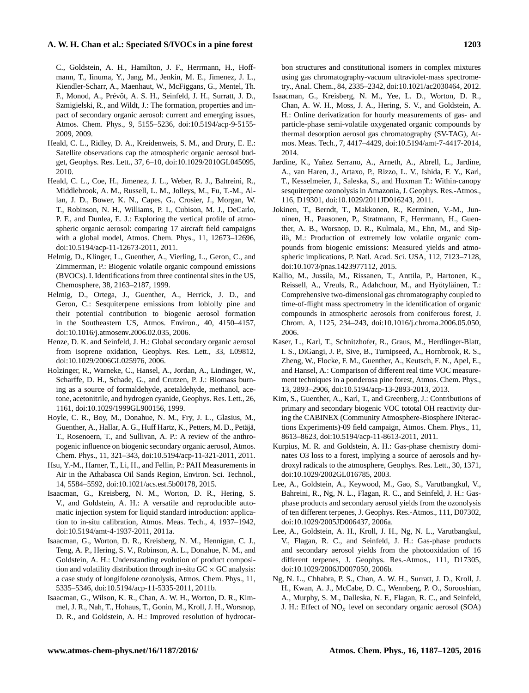C., Goldstein, A. H., Hamilton, J. F., Herrmann, H., Hoffmann, T., Iinuma, Y., Jang, M., Jenkin, M. E., Jimenez, J. L., Kiendler-Scharr, A., Maenhaut, W., McFiggans, G., Mentel, Th. F., Monod, A., Prévôt, A. S. H., Seinfeld, J. H., Surratt, J. D., Szmigielski, R., and Wildt, J.: The formation, properties and impact of secondary organic aerosol: current and emerging issues, Atmos. Chem. Phys., 9, 5155–5236, doi[:10.5194/acp-9-5155-](http://dx.doi.org/10.5194/acp-9-5155-2009) [2009,](http://dx.doi.org/10.5194/acp-9-5155-2009) 2009.

- <span id="page-16-3"></span>Heald, C. L., Ridley, D. A., Kreidenweis, S. M., and Drury, E. E.: Satellite observations cap the atmospheric organic aerosol budget, Geophys. Res. Lett., 37, 6–10, doi[:10.1029/2010GL045095,](http://dx.doi.org/10.1029/2010GL045095) 2010.
- <span id="page-16-4"></span>Heald, C. L., Coe, H., Jimenez, J. L., Weber, R. J., Bahreini, R., Middlebrook, A. M., Russell, L. M., Jolleys, M., Fu, T.-M., Allan, J. D., Bower, K. N., Capes, G., Crosier, J., Morgan, W. T., Robinson, N. H., Williams, P. I., Cubison, M. J., DeCarlo, P. F., and Dunlea, E. J.: Exploring the vertical profile of atmospheric organic aerosol: comparing 17 aircraft field campaigns with a global model, Atmos. Chem. Phys., 11, 12673–12696, doi[:10.5194/acp-11-12673-2011,](http://dx.doi.org/10.5194/acp-11-12673-2011) 2011.
- <span id="page-16-15"></span>Helmig, D., Klinger, L., Guenther, A., Vierling, L., Geron, C., and Zimmerman, P.: Biogenic volatile organic compound emissions (BVOCs). I. Identifications from three continental sites in the US, Chemosphere, 38, 2163–2187, 1999.
- <span id="page-16-14"></span>Helmig, D., Ortega, J., Guenther, A., Herrick, J. D., and Geron, C.: Sesquiterpene emissions from loblolly pine and their potential contribution to biogenic aerosol formation in the Southeastern US, Atmos. Environ., 40, 4150–4157, doi[:10.1016/j.atmosenv.2006.02.035,](http://dx.doi.org/10.1016/j.atmosenv.2006.02.035) 2006.
- <span id="page-16-0"></span>Henze, D. K. and Seinfeld, J. H.: Global secondary organic aerosol from isoprene oxidation, Geophys. Res. Lett., 33, L09812, doi[:10.1029/2006GL025976,](http://dx.doi.org/10.1029/2006GL025976) 2006.
- <span id="page-16-16"></span>Holzinger, R., Warneke, C., Hansel, A., Jordan, A., Lindinger, W., Scharffe, D. H., Schade, G., and Crutzen, P. J.: Biomass burning as a source of formaldehyde, acetaldehyde, methanol, acetone, acetonitrile, and hydrogen cyanide, Geophys. Res. Lett., 26, 1161, doi[:10.1029/1999GL900156,](http://dx.doi.org/10.1029/1999GL900156) 1999.
- <span id="page-16-20"></span>Hoyle, C. R., Boy, M., Donahue, N. M., Fry, J. L., Glasius, M., Guenther, A., Hallar, A. G., Huff Hartz, K., Petters, M. D., Petäjä, T., Rosenoern, T., and Sullivan, A. P.: A review of the anthropogenic influence on biogenic secondary organic aerosol, Atmos. Chem. Phys., 11, 321–343, doi[:10.5194/acp-11-321-2011,](http://dx.doi.org/10.5194/acp-11-321-2011) 2011.
- <span id="page-16-19"></span>Hsu, Y.-M., Harner, T., Li, H., and Fellin, P.: PAH Measurements in Air in the Athabasca Oil Sands Region, Environ. Sci. Technol., 14, 5584–5592, doi[:10.1021/acs.est.5b00178,](http://dx.doi.org/10.1021/acs.est.5b00178) 2015.
- <span id="page-16-11"></span>Isaacman, G., Kreisberg, N. M., Worton, D. R., Hering, S. V., and Goldstein, A. H.: A versatile and reproducible automatic injection system for liquid standard introduction: application to in-situ calibration, Atmos. Meas. Tech., 4, 1937–1942, doi[:10.5194/amt-4-1937-2011,](http://dx.doi.org/10.5194/amt-4-1937-2011) 2011a.
- <span id="page-16-17"></span>Isaacman, G., Worton, D. R., Kreisberg, N. M., Hennigan, C. J., Teng, A. P., Hering, S. V., Robinson, A. L., Donahue, N. M., and Goldstein, A. H.: Understanding evolution of product composition and volatility distribution through in-situ  $GC \times GC$  analysis: a case study of longifolene ozonolysis, Atmos. Chem. Phys., 11, 5335–5346, doi[:10.5194/acp-11-5335-2011,](http://dx.doi.org/10.5194/acp-11-5335-2011) 2011b.
- <span id="page-16-12"></span>Isaacman, G., Wilson, K. R., Chan, A. W. H., Worton, D. R., Kimmel, J. R., Nah, T., Hohaus, T., Gonin, M., Kroll, J. H., Worsnop, D. R., and Goldstein, A. H.: Improved resolution of hydrocar-

bon structures and constitutional isomers in complex mixtures using gas chromatography-vacuum ultraviolet-mass spectrometry., Anal. Chem., 84, 2335–2342, doi[:10.1021/ac2030464,](http://dx.doi.org/10.1021/ac2030464) 2012.

- <span id="page-16-18"></span>Isaacman, G., Kreisberg, N. M., Yee, L. D., Worton, D. R., Chan, A. W. H., Moss, J. A., Hering, S. V., and Goldstein, A. H.: Online derivatization for hourly measurements of gas- and particle-phase semi-volatile oxygenated organic compounds by thermal desorption aerosol gas chromatography (SV-TAG), Atmos. Meas. Tech., 7, 4417–4429, doi[:10.5194/amt-7-4417-2014,](http://dx.doi.org/10.5194/amt-7-4417-2014) 2014.
- <span id="page-16-6"></span>Jardine, K., Yañez Serrano, A., Arneth, A., Abrell, L., Jardine, A., van Haren, J., Artaxo, P., Rizzo, L. V., Ishida, F. Y., Karl, T., Kesselmeier, J., Saleska, S., and Huxman T.: Within-canopy sesquiterpene ozonolysis in Amazonia, J. Geophys. Res.-Atmos., 116, D19301, doi[:10.1029/2011JD016243,](http://dx.doi.org/10.1029/2011JD016243) 2011.
- <span id="page-16-5"></span>Jokinen, T., Berndt, T., Makkonen, R., Kerminen, V.-M., Junninen, H., Paasonen, P., Stratmann, F., Herrmann, H., Guenther, A. B., Worsnop, D. R., Kulmala, M., Ehn, M., and Sipilä, M.: Production of extremely low volatile organic compounds from biogenic emissions: Measured yields and atmospheric implications, P. Natl. Acad. Sci. USA, 112, 7123–7128, doi[:10.1073/pnas.1423977112,](http://dx.doi.org/10.1073/pnas.1423977112) 2015.
- <span id="page-16-10"></span>Kallio, M., Jussila, M., Rissanen, T., Anttila, P., Hartonen, K., Reissell, A., Vreuls, R., Adahchour, M., and Hyötyläinen, T.: Comprehensive two-dimensional gas chromatography coupled to time-of-flight mass spectrometry in the identification of organic compounds in atmospheric aerosols from coniferous forest, J. Chrom. A, 1125, 234–243, doi[:10.1016/j.chroma.2006.05.050,](http://dx.doi.org/10.1016/j.chroma.2006.05.050) 2006.
- <span id="page-16-13"></span>Kaser, L., Karl, T., Schnitzhofer, R., Graus, M., Herdlinger-Blatt, I. S., DiGangi, J. P., Sive, B., Turnipseed, A., Hornbrook, R. S., Zheng, W., Flocke, F. M., Guenther, A., Keutsch, F. N., Apel, E., and Hansel, A.: Comparison of different real time VOC measurement techniques in a ponderosa pine forest, Atmos. Chem. Phys., 13, 2893–2906, doi[:10.5194/acp-13-2893-2013,](http://dx.doi.org/10.5194/acp-13-2893-2013) 2013.
- <span id="page-16-1"></span>Kim, S., Guenther, A., Karl, T., and Greenberg, J.: Contributions of primary and secondary biogenic VOC tototal OH reactivity during the CABINEX (Community Atmosphere-Biosphere INteractions Experiments)-09 field campaign, Atmos. Chem. Phys., 11, 8613–8623, doi[:10.5194/acp-11-8613-2011,](http://dx.doi.org/10.5194/acp-11-8613-2011) 2011.
- <span id="page-16-2"></span>Kurpius, M. R. and Goldstein, A. H.: Gas-phase chemistry dominates O3 loss to a forest, implying a source of aerosols and hydroxyl radicals to the atmosphere, Geophys. Res. Lett., 30, 1371, doi[:10.1029/2002GL016785,](http://dx.doi.org/10.1029/2002GL016785) 2003.
- <span id="page-16-7"></span>Lee, A., Goldstein, A., Keywood, M., Gao, S., Varutbangkul, V., Bahreini, R., Ng, N. L., Flagan, R. C., and Seinfeld, J. H.: Gasphase products and secondary aerosol yields from the ozonolysis of ten different terpenes, J. Geophys. Res.-Atmos., 111, D07302, doi[:10.1029/2005JD006437,](http://dx.doi.org/10.1029/2005JD006437) 2006a.
- <span id="page-16-8"></span>Lee, A., Goldstein, A. H., Kroll, J. H., Ng, N. L., Varutbangkul, V., Flagan, R. C., and Seinfeld, J. H.: Gas-phase products and secondary aerosol yields from the photooxidation of 16 different terpenes, J. Geophys. Res.-Atmos., 111, D17305, doi[:10.1029/2006JD007050,](http://dx.doi.org/10.1029/2006JD007050) 2006b.
- <span id="page-16-9"></span>Ng, N. L., Chhabra, P. S., Chan, A. W. H., Surratt, J. D., Kroll, J. H., Kwan, A. J., McCabe, D. C., Wennberg, P. O., Sorooshian, A., Murphy, S. M., Dalleska, N. F., Flagan, R. C., and Seinfeld, J. H.: Effect of  $NO<sub>x</sub>$  level on secondary organic aerosol (SOA)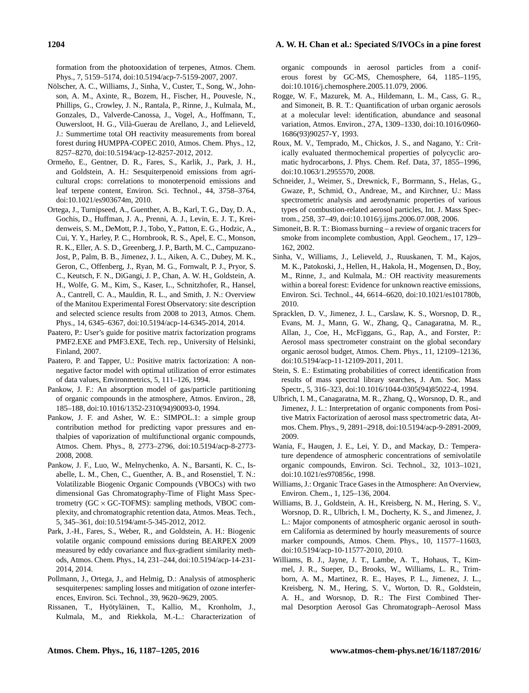formation from the photooxidation of terpenes, Atmos. Chem. Phys., 7, 5159–5174, doi[:10.5194/acp-7-5159-2007,](http://dx.doi.org/10.5194/acp-7-5159-2007) 2007.

- <span id="page-17-2"></span>Nölscher, A. C., Williams, J., Sinha, V., Custer, T., Song, W., Johnson, A. M., Axinte, R., Bozem, H., Fischer, H., Pouvesle, N., Phillips, G., Crowley, J. N., Rantala, P., Rinne, J., Kulmala, M., Gonzales, D., Valverde-Canossa, J., Vogel, A., Hoffmann, T., Ouwersloot, H. G., Vilà-Guerau de Arellano, J., and Lelieveld, J.: Summertime total OH reactivity measurements from boreal forest during HUMPPA-COPEC 2010, Atmos. Chem. Phys., 12, 8257–8270, doi[:10.5194/acp-12-8257-2012,](http://dx.doi.org/10.5194/acp-12-8257-2012) 2012.
- <span id="page-17-14"></span>Ormeño, E., Gentner, D. R., Fares, S., Karlik, J., Park, J. H., and Goldstein, A. H.: Sesquiterpenoid emissions from agricultural crops: correlations to monoterpenoid emissions and leaf terpene content, Environ. Sci. Technol., 44, 3758–3764, doi[:10.1021/es903674m,](http://dx.doi.org/10.1021/es903674m) 2010.
- <span id="page-17-6"></span>Ortega, J., Turnipseed, A., Guenther, A. B., Karl, T. G., Day, D. A., Gochis, D., Huffman, J. A., Prenni, A. J., Levin, E. J. T., Kreidenweis, S. M., DeMott, P. J., Tobo, Y., Patton, E. G., Hodzic, A., Cui, Y. Y., Harley, P. C., Hornbrook, R. S., Apel, E. C., Monson, R. K., Eller, A. S. D., Greenberg, J. P., Barth, M. C., Campuzano-Jost, P., Palm, B. B., Jimenez, J. L., Aiken, A. C., Dubey, M. K., Geron, C., Offenberg, J., Ryan, M. G., Fornwalt, P. J., Pryor, S. C., Keutsch, F. N., DiGangi, J. P., Chan, A. W. H., Goldstein, A. H., Wolfe, G. M., Kim, S., Kaser, L., Schnitzhofer, R., Hansel, A., Cantrell, C. A., Mauldin, R. L., and Smith, J. N.: Overview of the Manitou Experimental Forest Observatory: site description and selected science results from 2008 to 2013, Atmos. Chem. Phys., 14, 6345–6367, doi[:10.5194/acp-14-6345-2014,](http://dx.doi.org/10.5194/acp-14-6345-2014) 2014.
- <span id="page-17-10"></span>Paatero, P.: User's guide for positive matrix factorization programs PMF2.EXE and PMF3.EXE, Tech. rep., University of Helsinki, Finland, 2007.
- <span id="page-17-9"></span>Paatero, P. and Tapper, U.: Positive matrix factorization: A nonnegative factor model with optimal utilization of error estimates of data values, Environmetrics, 5, 111–126, 1994.
- <span id="page-17-19"></span>Pankow, J. F.: An absorption model of gas/particle partitioning of organic compounds in the atmosphere, Atmos. Environ., 28, 185–188, doi[:10.1016/1352-2310\(94\)90093-0,](http://dx.doi.org/10.1016/1352-2310(94)90093-0) 1994.
- <span id="page-17-13"></span>Pankow, J. F. and Asher, W. E.: SIMPOL.1: a simple group contribution method for predicting vapor pressures and enthalpies of vaporization of multifunctional organic compounds, Atmos. Chem. Phys., 8, 2773–2796, doi[:10.5194/acp-8-2773-](http://dx.doi.org/10.5194/acp-8-2773-2008) [2008,](http://dx.doi.org/10.5194/acp-8-2773-2008) 2008.
- <span id="page-17-16"></span>Pankow, J. F., Luo, W., Melnychenko, A. N., Barsanti, K. C., Isabelle, L. M., Chen, C., Guenther, A. B., and Rosenstiel, T. N.: Volatilizable Biogenic Organic Compounds (VBOCs) with two dimensional Gas Chromatography-Time of Flight Mass Spectrometry  $(GC \times GC$ -TOFMS): sampling methods, VBOC complexity, and chromatographic retention data, Atmos. Meas. Tech., 5, 345–361, doi[:10.5194/amt-5-345-2012,](http://dx.doi.org/10.5194/amt-5-345-2012) 2012.
- <span id="page-17-15"></span>Park, J.-H., Fares, S., Weber, R., and Goldstein, A. H.: Biogenic volatile organic compound emissions during BEARPEX 2009 measured by eddy covariance and flux-gradient similarity methods, Atmos. Chem. Phys., 14, 231–244, doi[:10.5194/acp-14-231-](http://dx.doi.org/10.5194/acp-14-231-2014) [2014,](http://dx.doi.org/10.5194/acp-14-231-2014) 2014.
- <span id="page-17-4"></span>Pollmann, J., Ortega, J., and Helmig, D.: Analysis of atmospheric sesquiterpenes: sampling losses and mitigation of ozone interferences, Environ. Sci. Technol., 39, 9620–9629, 2005.
- <span id="page-17-5"></span>Rissanen, T., Hyötyläinen, T., Kallio, M., Kronholm, J., Kulmala, M., and Riekkola, M.-L.: Characterization of

organic compounds in aerosol particles from a coniferous forest by GC-MS, Chemosphere, 64, 1185–1195, doi[:10.1016/j.chemosphere.2005.11.079,](http://dx.doi.org/10.1016/j.chemosphere.2005.11.079) 2006.

- <span id="page-17-18"></span>Rogge, W. F., Mazurek, M. A., Hildemann, L. M., Cass, G. R., and Simoneit, B. R. T.: Quantification of urban organic aerosols at a molecular level: identification, abundance and seasonal variation, Atmos. Environ., 27A, 1309–1330, doi[:10.1016/0960-](http://dx.doi.org/10.1016/0960-1686(93)90257-Y) [1686\(93\)90257-Y,](http://dx.doi.org/10.1016/0960-1686(93)90257-Y) 1993.
- <span id="page-17-20"></span>Roux, M. V., Temprado, M., Chickos, J. S., and Nagano, Y.: Critically evaluated thermochemical properties of polycyclic aromatic hydrocarbons, J. Phys. Chem. Ref. Data, 37, 1855–1996, doi[:10.1063/1.2955570,](http://dx.doi.org/10.1063/1.2955570) 2008.
- <span id="page-17-22"></span>Schneider, J., Weimer, S., Drewnick, F., Borrmann, S., Helas, G., Gwaze, P., Schmid, O., Andreae, M., and Kirchner, U.: Mass spectrometric analysis and aerodynamic properties of various types of combustion-related aerosol particles, Int. J. Mass Spectrom., 258, 37–49, doi[:10.1016/j.ijms.2006.07.008,](http://dx.doi.org/10.1016/j.ijms.2006.07.008) 2006.
- <span id="page-17-17"></span>Simoneit, B. R. T.: Biomass burning – a review of organic tracers for smoke from incomplete combustion, Appl. Geochem., 17, 129– 162, 2002.
- <span id="page-17-1"></span>Sinha, V., Williams, J., Lelieveld, J., Ruuskanen, T. M., Kajos, M. K., Patokoski, J., Hellen, H., Hakola, H., Mogensen, D., Boy, M., Rinne, J., and Kulmala, M.: OH reactivity measurements within a boreal forest: Evidence for unknown reactive emissions, Environ. Sci. Technol., 44, 6614–6620, doi[:10.1021/es101780b,](http://dx.doi.org/10.1021/es101780b) 2010.
- <span id="page-17-3"></span>Spracklen, D. V., Jimenez, J. L., Carslaw, K. S., Worsnop, D. R., Evans, M. J., Mann, G. W., Zhang, Q., Canagaratna, M. R., Allan, J., Coe, H., McFiggans, G., Rap, A., and Forster, P.: Aerosol mass spectrometer constraint on the global secondary organic aerosol budget, Atmos. Chem. Phys., 11, 12109–12136, doi[:10.5194/acp-11-12109-2011,](http://dx.doi.org/10.5194/acp-11-12109-2011) 2011.
- <span id="page-17-8"></span>Stein, S. E.: Estimating probabilities of correct identification from results of mass spectral library searches, J. Am. Soc. Mass Spectr., 5, 316–323, doi[:10.1016/1044-0305\(94\)85022-4,](http://dx.doi.org/10.1016/1044-0305(94)85022-4) 1994.
- <span id="page-17-11"></span>Ulbrich, I. M., Canagaratna, M. R., Zhang, Q., Worsnop, D. R., and Jimenez, J. L.: Interpretation of organic components from Positive Matrix Factorization of aerosol mass spectrometric data, Atmos. Chem. Phys., 9, 2891–2918, doi[:10.5194/acp-9-2891-2009,](http://dx.doi.org/10.5194/acp-9-2891-2009) 2009.
- <span id="page-17-21"></span>Wania, F., Haugen, J. E., Lei, Y. D., and Mackay, D.: Temperature dependence of atmospheric concentrations of semivolatile organic compounds, Environ. Sci. Technol., 32, 1013–1021, doi[:10.1021/es970856c,](http://dx.doi.org/10.1021/es970856c) 1998.
- <span id="page-17-0"></span>Williams, J.: Organic Trace Gases in the Atmosphere: An Overview, Environ. Chem., 1, 125–136, 2004.
- <span id="page-17-12"></span>Williams, B. J., Goldstein, A. H., Kreisberg, N. M., Hering, S. V., Worsnop, D. R., Ulbrich, I. M., Docherty, K. S., and Jimenez, J. L.: Major components of atmospheric organic aerosol in southern California as determined by hourly measurements of source marker compounds, Atmos. Chem. Phys., 10, 11577–11603, doi[:10.5194/acp-10-11577-2010,](http://dx.doi.org/10.5194/acp-10-11577-2010) 2010.
- <span id="page-17-7"></span>Williams, B. J., Jayne, J. T., Lambe, A. T., Hohaus, T., Kimmel, J. R., Sueper, D., Brooks, W., Williams, L. R., Trimborn, A. M., Martinez, R. E., Hayes, P. L., Jimenez, J. L., Kreisberg, N. M., Hering, S. V., Worton, D. R., Goldstein, A. H., and Worsnop, D. R.: The First Combined Thermal Desorption Aerosol Gas Chromatograph–Aerosol Mass